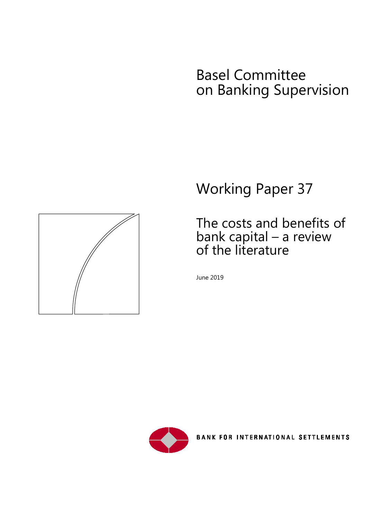# Basel Committee on Banking Supervision



# Working Paper 37

# The costs and benefits of bank capital – a review of the literature

June 2019



**BANK FOR INTERNATIONAL SETTLEMENTS**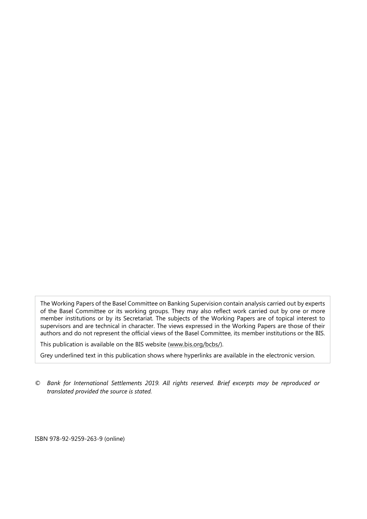The Working Papers of the Basel Committee on Banking Supervision contain analysis carried out by experts of the Basel Committee or its working groups. They may also reflect work carried out by one or more member institutions or by its Secretariat. The subjects of the Working Papers are of topical interest to supervisors and are technical in character. The views expressed in the Working Papers are those of their authors and do not represent the official views of the Basel Committee, its member institutions or the BIS.

This publication is available on the BIS website [\(www.bis.org/bcbs/\)](http://www.bis.org/bcbs/).

Grey underlined text in this publication shows where hyperlinks are available in the electronic version.

*© Bank for International Settlements 2019. All rights reserved. Brief excerpts may be reproduced or translated provided the source is stated.*

ISBN 978-92-9259-263-9 (online)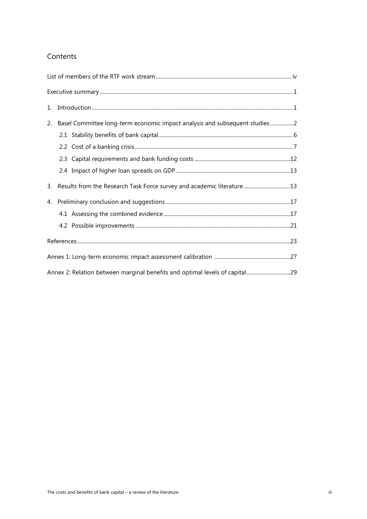#### Contents

| 1. |                                                                             |  |
|----|-----------------------------------------------------------------------------|--|
| 2. | Basel Committee long-term economic impact analysis and subsequent studies 2 |  |
|    |                                                                             |  |
|    |                                                                             |  |
|    |                                                                             |  |
|    |                                                                             |  |
| 3. |                                                                             |  |
| 4. |                                                                             |  |
|    |                                                                             |  |
|    |                                                                             |  |
|    |                                                                             |  |
|    |                                                                             |  |
|    | Annex 2: Relation between marginal benefits and optimal levels of capital29 |  |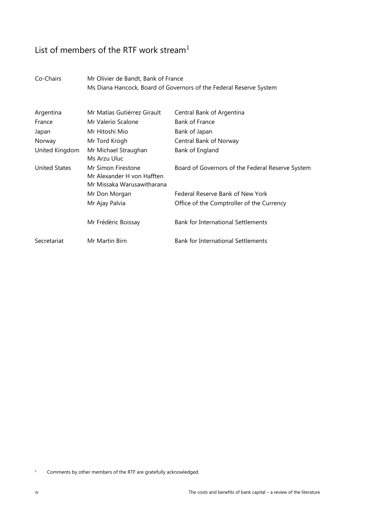# <span id="page-3-0"></span>List of members of the RTF work stream<sup>[1](#page-3-1)</sup>

Co-Chairs Mr Olivier de Bandt, Bank of France Ms Diana Hancock, Board of Governors of the Federal Reserve System

| Argentina            | Mr Matías Gutiérrez Girault                                                    | Central Bank of Argentina                        |
|----------------------|--------------------------------------------------------------------------------|--------------------------------------------------|
| France               | Mr Valerio Scalone                                                             | Bank of France                                   |
| Japan                | Mr Hitoshi Mio                                                                 | Bank of Japan                                    |
| Norway               | Mr Tord Krogh                                                                  | Central Bank of Norway                           |
| United Kingdom       | Mr Michael Straughan<br>Ms Arzu Uluc                                           | Bank of England                                  |
| <b>United States</b> | Mr Simon Firestone<br>Mr Alexander H von Hafften<br>Mr Missaka Warusawitharana | Board of Governors of the Federal Reserve System |
|                      | Mr Don Morgan                                                                  | Federal Reserve Bank of New York                 |
|                      | Mr Ajay Palvia                                                                 | Office of the Comptroller of the Currency        |
|                      | Mr Frédéric Boissay                                                            | <b>Bank for International Settlements</b>        |
| Secretariat          | Mr Martin Birn                                                                 | <b>Bank for International Settlements</b>        |

<span id="page-3-1"></span><sup>1</sup> Comments by other members of the RTF are gratefully acknowledged.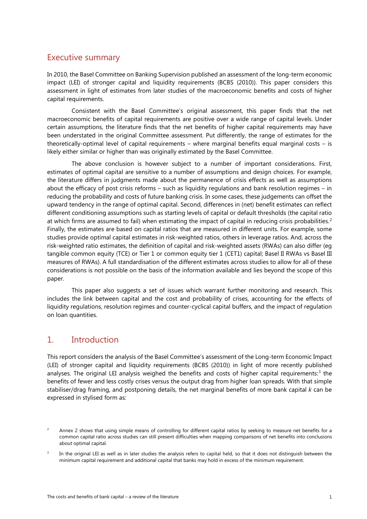### <span id="page-4-0"></span>Executive summary

In 2010, the Basel Committee on Banking Supervision published an assessment of the long-term economic impact (LEI) of stronger capital and liquidity requirements (BCBS (2010)). This paper considers this assessment in light of estimates from later studies of the macroeconomic benefits and costs of higher capital requirements.

Consistent with the Basel Committee's original assessment, this paper finds that the net macroeconomic benefits of capital requirements are positive over a wide range of capital levels. Under certain assumptions, the literature finds that the net benefits of higher capital requirements may have been understated in the original Committee assessment. Put differently, the range of estimates for the theoretically-optimal level of capital requirements – where marginal benefits equal marginal costs – is likely either similar or higher than was originally estimated by the Basel Committee.

The above conclusion is however subject to a number of important considerations. First, estimates of optimal capital are sensitive to a number of assumptions and design choices. For example, the literature differs in judgments made about the permanence of crisis effects as well as assumptions about the efficacy of post crisis reforms – such as liquidity regulations and bank resolution regimes – in reducing the probability and costs of future banking crisis. In some cases, these judgements can offset the upward tendency in the range of optimal capital. Second, differences in (net) benefit estimates can reflect different conditioning assumptions such as starting levels of capital or default thresholds (the capital ratio at which firms are assumed to fail) when estimating the impact of capital in reducing crisis probabilities.<sup>[2](#page-4-2)</sup> Finally, the estimates are based on capital ratios that are measured in different units. For example, some studies provide optimal capital estimates in risk-weighted ratios, others in leverage ratios. And, across the risk-weighted ratio estimates, the definition of capital and risk-weighted assets (RWAs) can also differ (eg tangible common equity (TCE) or Tier 1 or common equity tier 1 (CET1) capital; Basel II RWAs vs Basel III measures of RWAs). A full standardisation of the different estimates across studies to allow for all of these considerations is not possible on the basis of the information available and lies beyond the scope of this paper.

This paper also suggests a set of issues which warrant further monitoring and research. This includes the link between capital and the cost and probability of crises, accounting for the effects of liquidity regulations, resolution regimes and counter-cyclical capital buffers, and the impact of regulation on loan quantities.

# <span id="page-4-1"></span>1. Introduction

This report considers the analysis of the Basel Committee's assessment of the Long-term Economic Impact (LEI) of stronger capital and liquidity requirements (BCBS (2010)) in light of more recently published analyses. The original LEI analysis weighed the benefits and costs of higher capital requirements:<sup>[3](#page-4-3)</sup> the benefits of fewer and less costly crises versus the output drag from higher loan spreads. With that simple stabiliser/drag framing, and postponing details, the net marginal benefits of more bank capital *k* can be expressed in stylised form as*:*

<span id="page-4-2"></span><sup>2</sup> Annex 2 shows that using simple means of controlling for different capital ratios by seeking to measure net benefits for a common capital ratio across studies can still present difficulties when mapping comparisons of net benefits into conclusions about optimal capital.

<span id="page-4-3"></span>In the original LEI as well as in later studies the analysis refers to capital held, so that it does not distinguish between the minimum capital requirement and additional capital that banks may hold in excess of the minimum requirement.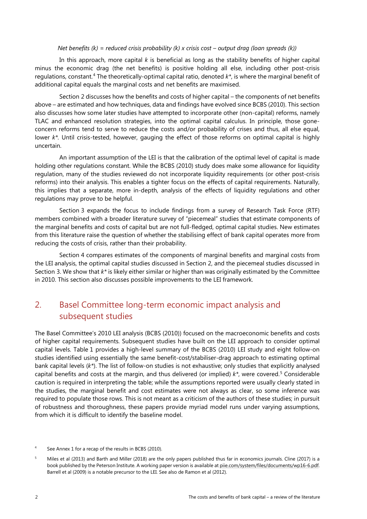#### *Net benefits (k) = reduced crisis probability (k) x crisis cost – output drag (loan spreads (k))*

In this approach, more capital *k* is beneficial as long as the stability benefits of higher capital minus the economic drag (the net benefits) is positive holding all else, including other post-crisis regulations, constant.[4](#page-5-1) The theoretically-optimal capital ratio, denoted *k\**, is where the marginal benefit of additional capital equals the marginal costs and net benefits are maximised.

Section 2 discusses how the benefits and costs of higher capital – the components of net benefits above – are estimated and how techniques, data and findings have evolved since BCBS (2010). This section also discusses how some later studies have attempted to incorporate other (non-capital) reforms, namely TLAC and enhanced resolution strategies, into the optimal capital calculus. In principle, those goneconcern reforms tend to serve to reduce the costs and/or probability of crises and thus, all else equal, lower *k*\*. Until crisis-tested, however, gauging the effect of those reforms on optimal capital is highly uncertain.

An important assumption of the LEI is that the calibration of the optimal level of capital is made holding other regulations constant. While the BCBS (2010) study does make some allowance for liquidity regulation, many of the studies reviewed do not incorporate liquidity requirements (or other post-crisis reforms) into their analysis. This enables a tighter focus on the effects of capital requirements. Naturally, this implies that a separate, more in-depth, analysis of the effects of liquidity regulations and other regulations may prove to be helpful.

Section 3 expands the focus to include findings from a survey of Research Task Force (RTF) members combined with a broader literature survey of "piecemeal" studies that estimate components of the marginal benefits and costs of capital but are not full-fledged, optimal capital studies. New estimates from this literature raise the question of whether the stabilising effect of bank capital operates more from reducing the costs of crisis, rather than their probability.

Section 4 compares estimates of the components of marginal benefits and marginal costs from the LEI analysis, the optimal capital studies discussed in Section 2, and the piecemeal studies discussed in Section 3. We show that *k\** is likely either similar or higher than was originally estimated by the Committee in 2010. This section also discusses possible improvements to the LEI framework.

# <span id="page-5-0"></span>2. Basel Committee long-term economic impact analysis and subsequent studies

The Basel Committee's 2010 LEI analysis (BCBS (2010)) focused on the macroeconomic benefits and costs of higher capital requirements. Subsequent studies have built on the LEI approach to consider optimal capital levels. [Table](#page-7-0) 1 provides a high-level summary of the BCBS (2010) LEI study and eight follow-on studies identified using essentially the same benefit-cost/stabiliser-drag approach to estimating optimal bank capital levels (*k\**). The list of follow-on studies is not exhaustive; only studies that explicitly analysed capital benefits and costs at the margin, and thus delivered (or implied)  $k^*$ , were covered.<sup>[5](#page-5-2)</sup> Considerable caution is required in interpreting the table; while the assumptions reported were usually clearly stated in the studies, the marginal benefit and cost estimates were not always as clear, so some inference was required to populate those rows. This is not meant as a criticism of the authors of these studies; in pursuit of robustness and thoroughness, these papers provide myriad model runs under varying assumptions, from which it is difficult to identify the baseline model.

<span id="page-5-1"></span><sup>4</sup> See Annex 1 for a recap of the results in BCBS (2010).

<span id="page-5-2"></span><sup>&</sup>lt;sup>5</sup> Miles et al (2013) and Barth and Miller (2018) are the only papers published thus far in economics journals. Cline (2017) is a book published by the Peterson Institute. A working paper version is available at [piie.com/system/files/documents/wp16-6.pdf.](https://piie.com/system/files/documents/wp16-6.pdf)  Barrell et al (2009) is a notable precursor to the LEI. See also de Ramon et al (2012).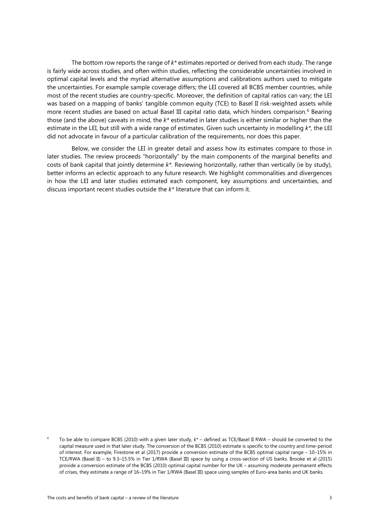The bottom row reports the range of *k\** estimates reported or derived from each study. The range is fairly wide across studies, and often within studies, reflecting the considerable uncertainties involved in optimal capital levels and the myriad alternative assumptions and calibrations authors used to mitigate the uncertainties. For example sample coverage differs; the LEI covered all BCBS member countries, while most of the recent studies are country-specific. Moreover, the definition of capital ratios can vary; the LEI was based on a mapping of banks' tangible common equity (TCE) to Basel II risk-weighted assets while more recent studies are based on actual Basel III capital ratio data, which hinders comparison.<sup>[6](#page-6-0)</sup> Bearing those (and the above) caveats in mind, the *k\** estimated in later studies is either similar or higher than the estimate in the LEI, but still with a wide range of estimates. Given such uncertainty in modelling *k\*,* the LEI did not advocate in favour of a particular calibration of the requirements, nor does this paper.

Below, we consider the LEI in greater detail and assess how its estimates compare to those in later studies. The review proceeds "horizontally" by the main components of the marginal benefits and costs of bank capital that jointly determine *k\*.* Reviewing horizontally, rather than vertically (ie by study), better informs an eclectic approach to any future research. We highlight commonalities and divergences in how the LEI and later studies estimated each component, key assumptions and uncertainties, and discuss important recent studies outside the *k\** literature that can inform it.

<span id="page-6-0"></span><sup>6</sup> To be able to compare BCBS (2010) with a given later study, *k\** – defined as TCE/Basel II RWA – should be converted to the capital measure used in that later study. The conversion of the BCBS (2010) estimate is specific to the country and time-period of interest. For example, Firestone et al (2017) provide a conversion estimate of the BCBS optimal capital range – 10–15% in TCE/RWA (Basel II) – to 9.3–15.5% in Tier 1/RWA (Basel III) space by using a cross-section of US banks. Brooke et al (2015) provide a conversion estimate of the BCBS (2010) optimal capital number for the UK – assuming moderate permanent effects of crises, they estimate a range of 16–19% in Tier 1/RWA (Basel III) space using samples of Euro-area banks and UK banks.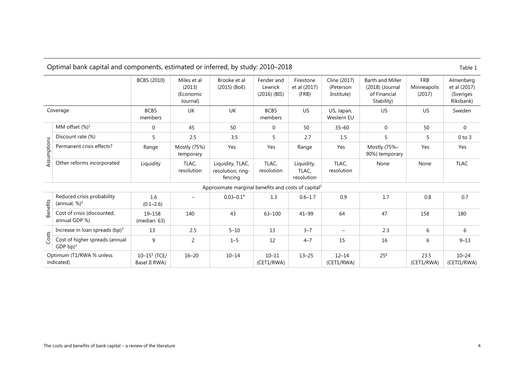# Optimal bank capital and components, estimated or inferred, by study: 2010–2018 Table 1

<span id="page-7-0"></span>

|                 |                                                                     | BCBS (2010)                       | Miles et al<br>(2013)<br>(Economic<br>Journal) | Brooke et al<br>$(2015)$ (BoE)                                  | Fender and<br>Lewrick<br>$(2016)$ (BIS) | Firestone<br>et al (2017)<br>(FRB) | Cline (2017)<br>(Peterson<br>Institute) | <b>Barth and Miller</b><br>(2018) (Journal<br>of Financial<br>Stability) | <b>FRB</b><br>Minneapolis<br>(2017) | Almenberg<br>et al (2017)<br>(Sveriges<br>Riksbank) |
|-----------------|---------------------------------------------------------------------|-----------------------------------|------------------------------------------------|-----------------------------------------------------------------|-----------------------------------------|------------------------------------|-----------------------------------------|--------------------------------------------------------------------------|-------------------------------------|-----------------------------------------------------|
| Coverage        |                                                                     | <b>BCBS</b><br>members            | <b>UK</b>                                      | <b>UK</b>                                                       | <b>BCBS</b><br>members                  | US                                 | US, Japan,<br>Western EU                | US                                                                       | <b>US</b>                           | Sweden                                              |
|                 | MM offset $(\%)^1$                                                  | $\mathbf 0$                       | 45                                             | 50                                                              | $\mathbf 0$                             | 50                                 | $35 - 60$                               | 0                                                                        | 50                                  | $\Omega$                                            |
|                 | Discount rate (%)                                                   | 5                                 | 2.5                                            | 3.5                                                             | 5                                       | 2.7                                | 1.5                                     | 5                                                                        | 5                                   | $0$ to $3$                                          |
| Assumptions     | Permanent crisis effects?                                           | Range                             | Mostly (75%)<br>temporary                      | Yes                                                             | Yes                                     | Range                              | Yes                                     | Mostly (75%-<br>90%) temporary                                           | Yes                                 | Yes                                                 |
|                 | Other reforms incorporated                                          | Liquidity                         | TLAC,<br>resolution                            | Liquidity, TLAC,<br>resolution, ring-<br>fencing                | TLAC,<br>resolution                     | Liquidity,<br>TLAC.<br>resolution  | TLAC,<br>resolution                     | None                                                                     | None                                | <b>TLAC</b>                                         |
|                 |                                                                     |                                   |                                                | Approximate marginal benefits and costs of capital <sup>2</sup> |                                         |                                    |                                         |                                                                          |                                     |                                                     |
|                 | Reduced crisis probability<br>(annual, $\frac{9}{3}$ ) <sup>3</sup> | 1.6<br>$(0.1 - 2.6)$              |                                                | $0.03 - 0.14$                                                   | 1.3                                     | $0.6 - 1.7$                        | 0.9                                     | 1.7                                                                      | 0.8                                 | 0.7                                                 |
| <b>Benefits</b> | Cost of crisis (discounted,<br>annual GDP %)                        | 19-158<br>(median: 63)            | 140                                            | 43                                                              | $63 - 100$                              | $41 - 99$                          | 64                                      | 47                                                                       | 158                                 | 180                                                 |
|                 | Increase in loan spreads $(bp)^3$                                   | 13                                | 2.5                                            | $5 - 10$                                                        | 13                                      | $3 - 7$                            | $\overline{\phantom{0}}$                | 2.3                                                                      | 6                                   | 6                                                   |
| Costs           | Cost of higher spreads (annual<br>$GDP bp)^3$                       | 9                                 | $\overline{2}$                                 | $1 - 5$                                                         | 12                                      | $4 - 7$                            | 15                                      | 16                                                                       | 6                                   | $9 - 13$                                            |
|                 | Optimum (T1/RWA % unless<br>indicated)                              | $10 - 155$ (TCE/<br>Basel II RWA) | $16 - 20$                                      | $10 - 14$                                                       | $10 - 11$<br>(CET1/RWA)                 | $13 - 25$                          | $12 - 14$<br>(CET1/RWA)                 | 256                                                                      | 23.5<br>(CET1/RWA)                  | $10 - 24$<br>(CETI1/RWA)                            |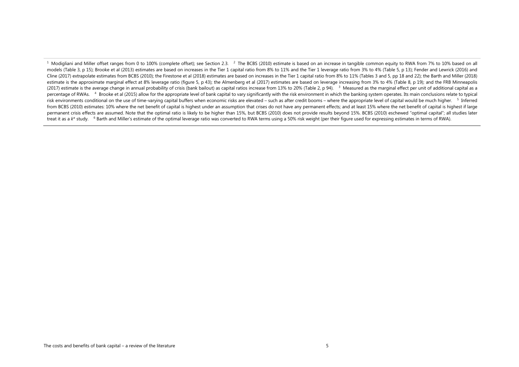$^1$  Modigliani and Miller offset ranges from 0 to 100% (complete offset); see Section 2.3.  $\phantom{1}^2$  The BCBS (2010) estimate is based on an increase in tangible common equity to RWA from 7% to 10% based on all models (Table 3, p 15); Brooke et al (2013) estimates are based on increases in the Tier 1 capital ratio from 8% to 11% and the Tier 1 leverage ratio from 3% to 4% (Table 5, p 13); Fender and Lewrick (2016) and Cline (2017) extrapolate estimates from BCBS (2010); the Firestone et al (2018) estimates are based on increases in the Tier 1 capital ratio from 8% to 11% (Tables 3 and 5, pp 18 and 22); the Barth and Miller (2018) estimate is the approximate marginal effect at 8% leverage ratio (figure 5, p 43); the Almenberg et al (2017) estimates are based on leverage increasing from 3% to 4% (Table 8, p 19); and the FRB Minneapolis (2017) estimate is the average change in annual probability of crisis (bank bailout) as capital ratios increase from 13% to 20% (Table 2, p 94). <sup>3</sup> Measured as the marginal effect per unit of additional capital as a percentage of RWAs. <sup>4</sup> Brooke et al (2015) allow for the appropriate level of bank capital to vary significantly with the risk environment in which the banking system operates. Its main conclusions relate to typical risk environments conditional on the use of time-varying capital buffers when economic risks are elevated – such as after credit booms – where the appropriate level of capital would be much higher. <sup>5</sup> Inferred from BCBS (2010) estimates: 10% where the net benefit of capital is highest under an assumption that crises do not have any permanent effects; and at least 15% where the net benefit of capital is highest if large permanent crisis effects are assumed. Note that the optimal ratio is likely to be higher than 15%, but BCBS (2010) does not provide results beyond 15%. BCBS (2010) eschewed "optimal capital"; all studies later treat it as a *k*\* study. <sup>6</sup> Barth and Miller's estimate of the optimal leverage ratio was converted to RWA terms using a 50% risk weight (per their figure used for expressing estimates in terms of RWA).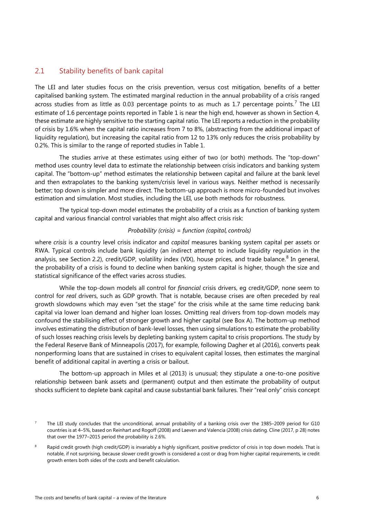#### <span id="page-9-0"></span>2.1 Stability benefits of bank capital

The LEI and later studies focus on the crisis prevention, versus cost mitigation, benefits of a better capitalised banking system. The estimated marginal reduction in the annual probability of a crisis ranged across studies from as little as 0.03 percentage points to as much as 1.[7](#page-9-1) percentage points.<sup>7</sup> The LEI estimate of 1.6 percentage points reported in [Table](#page-7-0) 1 is near the high end, however as shown in Section 4. these estimate are highly sensitive to the starting capital ratio. The LEI reports a reduction in the probability of crisis by 1.6% when the capital ratio increases from 7 to 8%, (abstracting from the additional impact of liquidity regulation), but increasing the capital ratio from 12 to 13% only reduces the crisis probability by 0.2%. This is similar to the range of reported studies in [Table](#page-7-0) 1.

The studies arrive at these estimates using either of two (or both) methods. The "top-down" method uses country level data to estimate the relationship between crisis indicators and banking system capital. The "bottom-up" method estimates the relationship between capital and failure at the bank level and then extrapolates to the banking system/crisis level in various ways. Neither method is necessarily better; top down is simpler and more direct. The bottom-up approach is more micro-founded but involves estimation and simulation. Most studies, including the LEI, use both methods for robustness.

The typical top-down model estimates the probability of a crisis as a function of banking system capital and various financial control variables that might also affect crisis risk:

#### *Probability (crisis) = function (capital, controls)*

where *crisis* is a country level crisis indicator and *capital* measures banking system capital per assets or RWA. Typical controls include bank liquidity (an indirect attempt to include liquidity regulation in the analysis, see Section 2.2), credit/GDP, volatility index (VIX), house prices, and trade balance.<sup>[8](#page-9-2)</sup> In general, the probability of a crisis is found to decline when banking system capital is higher, though the size and statistical significance of the effect varies across studies.

While the top-down models all control for *financial* crisis drivers, eg credit/GDP, none seem to control for *real* drivers, such as GDP growth. That is notable, because crises are often preceded by real growth slowdowns which may even "set the stage" for the crisis while at the same time reducing bank capital via lower loan demand and higher loan losses. Omitting real drivers from top-down models may confound the stabilising effect of stronger growth and higher capital (see Box A). The bottom-up method involves estimating the distribution of bank-level losses, then using simulations to estimate the probability of such losses reaching crisis levels by depleting banking system capital to crisis proportions. The study by the Federal Reserve Bank of Minneapolis (2017), for example, following Dagher et al (2016), converts peak nonperforming loans that are sustained in crises to equivalent capital losses, then estimates the marginal benefit of additional capital in averting a crisis or bailout.

The bottom-up approach in Miles et al (2013) is unusual; they stipulate a one-to-one positive relationship between bank assets and (permanent) output and then estimate the probability of output shocks sufficient to deplete bank capital and cause substantial bank failures. Their "real only" crisis concept

<span id="page-9-1"></span> $7$  The LEI study concludes that the unconditional, annual probability of a banking crisis over the 1985–2009 period for G10 countries is at 4–5%, based on Reinhart and Rogoff (2008) and Laeven and Valencia (2008) crisis dating. Cline (2017, p 28) notes that over the 1977–2015 period the probability is 2.6%.

<span id="page-9-2"></span><sup>8</sup> Rapid credit growth (high credit/GDP) is invariably a highly significant, positive predictor of crisis in top down models. That is notable, if not surprising, because slower credit growth is considered a cost or drag from higher capital requirements, ie credit growth enters both sides of the costs and benefit calculation.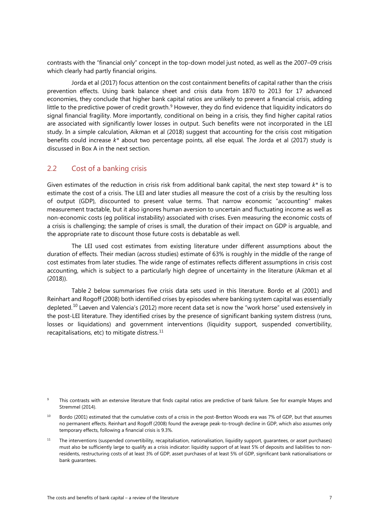<span id="page-10-3"></span>contrasts with the "financial only" concept in the top-down model just noted, as well as the 2007–09 crisis which clearly had partly financial origins.

Jorda et al (2017) focus attention on the cost containment benefits of capital rather than the crisis prevention effects. Using bank balance sheet and crisis data from 1870 to 2013 for 17 advanced economies, they conclude that higher bank capital ratios are unlikely to prevent a financial crisis, adding little to the predictive power of credit growth.<sup>[9](#page-10-1)</sup> However, they do find evidence that liquidity indicators do signal financial fragility. More importantly, conditional on being in a crisis, they find higher capital ratios are associated with significantly lower losses in output. Such benefits were not incorporated in the LEI study. In a simple calculation, Aikman et al (2018) suggest that accounting for the crisis cost mitigation benefits could increase *k\** about two percentage points, all else equal. The Jorda et al (2017) study is discussed in Box A in the next section.

#### <span id="page-10-0"></span>2.2 Cost of a banking crisis

Given estimates of the reduction in crisis risk from additional bank capital, the next step toward *k\** is to estimate the cost of a crisis. The LEI and later studies all measure the cost of a crisis by the resulting loss of output (GDP), discounted to present value terms. That narrow economic "accounting" makes measurement tractable, but it also ignores human aversion to uncertain and fluctuating income as well as non-economic costs (eg political instability) associated with crises. Even measuring the economic costs of a crisis is challenging; the sample of crises is small, the duration of their impact on GDP is arguable, and the appropriate rate to discount those future costs is debatable as well.

The LEI used cost estimates from existing literature under different assumptions about the duration of effects. Their median (across studies) estimate of 63% is roughly in the middle of the range of cost estimates from later studies. The wide range of estimates reflects different assumptions in crisis cost accounting, which is subject to a particularly high degree of uncertainty in the literature (Aikman et al (2018)).

[Table](#page-11-0) 2 below summarises five crisis data sets used in this literature. Bordo et al (2001) and Reinhart and Rogoff (2008) both identified crises by episodes where banking system capital was essentially depleted.<sup>[10](#page-10-2)</sup> Laeven and Valencia's (2012) more recent data set is now the "work horse" used extensively in the post-LEI literature. They identified crises by the presence of significant banking system distress (runs, losses or liquidations) and government interventions (liquidity support, suspended convertibility, recapitalisations, etc) to mitigate distress. $^{11}$  $^{11}$  $^{11}$ 

<span id="page-10-1"></span>This contrasts with an extensive literature that finds capital ratios are predictive of bank failure. See for example Mayes and Stremmel (2014).

<span id="page-10-2"></span><sup>&</sup>lt;sup>10</sup> Bordo (2001) estimated that the cumulative costs of a crisis in the post-Bretton Woods era was 7% of GDP, but that assumes no permanent effects. Reinhart and Rogoff (2008) found the average peak-to-trough decline in GDP, which also assumes only temporary effects, following a financial crisis is 9.3%.

<sup>11</sup> The interventions (suspended convertibility, recapitalisation, nationalisation, liquidity support, guarantees, or asset purchases) must also be sufficiently large to qualify as a crisis indicator: liquidity support of at least 5% of deposits and liabilities to nonresidents, restructuring costs of at least 3% of GDP, asset purchases of at least 5% of GDP, significant bank nationalisations or bank guarantees.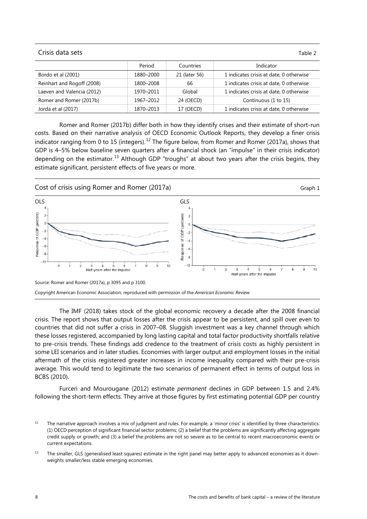<span id="page-11-2"></span><span id="page-11-0"></span>

| Crisis data sets           |           |               | Table 2                                 |
|----------------------------|-----------|---------------|-----------------------------------------|
|                            | Period    | Countries     | Indicator                               |
| Bordo et al (2001)         | 1880-2000 | 21 (later 56) | 1 indicates crisis at date, 0 otherwise |
| Reinhart and Rogoff (2008) | 1800-2008 | 66            | 1 indicates crisis at date, 0 otherwise |
| Laeven and Valencia (2012) | 1970-2011 | Global        | 1 indicates crisis at date, 0 otherwise |
| Romer and Romer (2017b)    | 1967-2012 | 24 (OECD)     | Continuous (1 to 15)                    |
| Jorda et al (2017)         | 1870-2013 | 17 (OECD)     | 1 indicates crisis at date, 0 otherwise |

Romer and Romer (2017b) differ both in how they identify crises and their estimate of short-run costs. Based on their narrative analysis of OECD Economic Outlook Reports, they develop a finer crisis indicator ranging from 0 to 15 (integers).<sup>[12](#page-11-1)</sup> The figure below, from Romer and Romer (2017a), shows that GDP is 4–5% below baseline seven quarters after a financial shock (an "impulse" in their crisis indicator) depending on the estimator.<sup>[13](#page-11-2)</sup> Although GDP "troughs" at about two years after the crisis begins, they estimate significant, persistent effects of five years or more.



Copyright American Economic Association; reproduced with permission of the *American Economic Review*.

The IMF (2018) takes stock of the global economic recovery a decade after the 2008 financial crisis. The report shows that output losses after the crisis appear to be persistent, and spill over even to countries that did not suffer a crisis in 2007–08. Sluggish investment was a key channel through which these losses registered, accompanied by long lasting capital and total factor productivity shortfalls relative to pre-crisis trends. These findings add credence to the treatment of crisis costs as highly persistent in some LEI scenarios and in later studies. Economies with larger output and employment losses in the initial aftermath of the crisis registered greater increases in income inequality compared with their pre-crisis average. This would tend to legitimate the two scenarios of permanent effect in terms of output loss in BCBS (2010).

Furceri and Mourougane (2012) estimate *permanent* declines in GDP between 1.5 and 2.4% following the short-term effects. They arrive at those figures by first estimating potential GDP per country

<span id="page-11-1"></span><sup>&</sup>lt;sup>12</sup> The narrative approach involves a mix of judgment and rules. For example, a 'minor crisis' is identified by three characteristics: (1) OECD perception of significant financial sector problems; (2) a belief that the problems are significantly affecting aggregate credit supply or growth; and (3) a belief the problems are not so severe as to be central to recent macroeconomic events or current expectations.

<sup>&</sup>lt;sup>13</sup> The smaller, GLS (generalised least squares) estimate in the right panel may better apply to advanced economies as it downweights smaller/less stable emerging economies.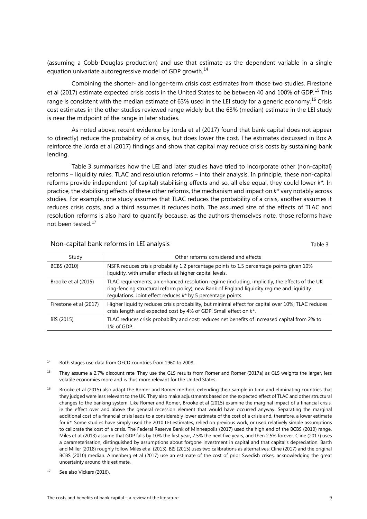<span id="page-12-3"></span>(assuming a Cobb-Douglas production) and use that estimate as the dependent variable in a single equation univariate autoregressive model of GDP growth.<sup>[14](#page-12-1)</sup>

Combining the shorter- and longer-term crisis cost estimates from those two studies, Firestone et al (2017) estimate expected crisis costs in the United States to be between 40 and 100% of GDP.<sup>[15](#page-12-2)</sup> This range is consistent with the median estimate of 63% used in the LEI study for a generic economy.<sup>[16](#page-12-3)</sup> Crisis cost estimates in the other studies reviewed range widely but the 63% (median) estimate in the LEI study is near the midpoint of the range in later studies.

As noted above, recent evidence by Jorda et al (2017) found that bank capital does not appear to (directly) reduce the probability of a crisis, but does lower the cost. The estimates discussed in Box A reinforce the Jorda et al (2017) findings and show that capital may reduce crisis costs by sustaining bank lending.

[Table](#page-12-0) 3 summarises how the LEI and later studies have tried to incorporate other (non-capital) reforms – liquidity rules, TLAC and resolution reforms – into their analysis. In principle, these non-capital reforms provide independent (of capital) stabilising effects and so, all else equal, they could lower *k\*.* In practice, the stabilising effects of these other reforms, the mechanism and impact on *k\** vary notably across studies. For example, one study assumes that TLAC reduces the probability of a crisis, another assumes it reduces crisis costs, and a third assumes it reduces both. The assumed size of the effects of TLAC and resolution reforms is also hard to quantify because, as the authors themselves note, those reforms have not been tested.[17](#page-12-4)

| Study                  | Other reforms considered and effects                                                                                                                                                                                                                            |
|------------------------|-----------------------------------------------------------------------------------------------------------------------------------------------------------------------------------------------------------------------------------------------------------------|
| BCBS (2010)            | NSFR reduces crisis probability 1.2 percentage points to 1.5 percentage points given 10%<br>liquidity, with smaller effects at higher capital levels.                                                                                                           |
| Brooke et al (2015)    | TLAC requirements; an enhanced resolution regime (including, implicitly, the effects of the UK<br>ring-fencing structural reform policy); new Bank of England liquidity regime and liquidity<br>requlations. Joint effect reduces $k^*$ by 5 percentage points. |
| Firestone et al (2017) | Higher liquidity reduces crisis probability, but minimal effect for capital over 10%; TLAC reduces<br>crisis length and expected cost by 4% of GDP. Small effect on k*.                                                                                         |
| BIS (2015)             | TLAC reduces crisis probability and cost; reduces net benefits of increased capital from 2% to<br>1% of GDP.                                                                                                                                                    |

#### <span id="page-12-0"></span>Non-capital bank reforms in LEI analysis Table 3 and the state 3 and 3 and 3 and 3 and 3 and 3 and 3 and 3 and 3 and 3 and 3 and 4 and 4 and 4 and 4 and 4 and 4 and 4 and 4 and 4 and 4 and 4 and 4 and 4 and 4 and 4 and 4 a

- <span id="page-12-1"></span>14 Both stages use data from OECD countries from 1960 to 2008.
- <span id="page-12-2"></span><sup>15</sup> They assume a 2.7% discount rate. They use the GLS results from Romer and Romer (2017a) as GLS weights the larger, less volatile economies more and is thus more relevant for the United States.
- <sup>16</sup> Brooke et al (2015) also adapt the Romer and Romer method, extending their sample in time and eliminating countries that they judged were less relevant to the UK. They also make adjustments based on the expected effect of TLAC and other structural changes to the banking system. Like Romer and Romer, Brooke et al (2015) examine the marginal impact of a financial crisis, ie the effect over and above the general recession element that would have occurred anyway. Separating the marginal additional cost of a financial crisis leads to a considerably lower estimate of the cost of a crisis and, therefore, a lower estimate for *k\**. Some studies have simply used the 2010 LEI estimates, relied on previous work, or used relatively simple assumptions to calibrate the cost of a crisis. The Federal Reserve Bank of Minneapolis (2017) used the high end of the BCBS (2010) range. Miles et at (2013) assume that GDP falls by 10% the first year, 7.5% the next five years, and then 2.5% forever. Cline (2017) uses a parameterisation, distinguished by assumptions about forgone investment in capital and that capital's depreciation. Barth and Miller (2018) roughly follow Miles et al (2013). BIS (2015) uses two calibrations as alternatives: Cline (2017) and the original BCBS (2010) median. Almenberg et al (2017) use an estimate of the cost of prior Swedish crises, acknowledging the great uncertainty around this estimate.
- <span id="page-12-4"></span><sup>17</sup> See also Vickers (2016).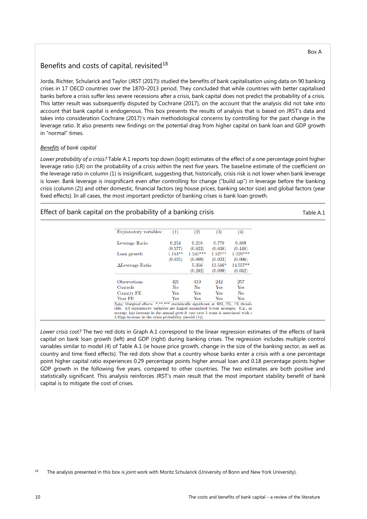### Benefits and costs of capital, revisited $^{18}$  $^{18}$  $^{18}$

Jorda, Richter, Schularick and Taylor (JRST (2017)) studied the benefits of bank capitalisation using data on 90 banking crises in 17 OECD countries over the 1870–2013 period. They concluded that while countries with better capitalised banks before a crisis suffer less severe recessions after a crisis, bank capital does not predict the probability of a crisis. This latter result was subsequently disputed by Cochrane (2017), on the account that the analysis did not take into account that bank capital is endogenous. This box presents the results of analysis that is based on JRST's data and takes into consideration Cochrane (2017)'s main methodological concerns by controlling for the past change in the leverage ratio. It also presents new findings on the potential drag from higher capital on bank loan and GDP growth in "normal" times.

#### *Benefits of bank capital*

*Lower probability of a crisis?* Table A.1 reports top down (logit) estimates of the effect of a one percentage point higher leverage ratio (LR) on the probability of a crisis within the next five years. The baseline estimate of the coefficient on the leverage ratio in column (1) is insignificant, suggesting that, historically, crisis risk is not lower when bank leverage is lower. Bank leverage is insignificant even after controlling for change ("build up") in leverage before the banking crisis (column (2)) and other domestic, financial factors (eg house prices, banking sector size) and global factors (year fixed effects). In all cases, the most important predictor of banking crises is bank loan growth.

#### Effect of bank capital on the probability of a banking crisis  $\blacksquare$  Table A.1

| Explanatory variables:                                                                                              | (1)       | (2)                                              | (3)       | (4)        |
|---------------------------------------------------------------------------------------------------------------------|-----------|--------------------------------------------------|-----------|------------|
| Leverage Ratio                                                                                                      | 0.254     | 0.218                                            | 0.778     | 0.889      |
|                                                                                                                     | (0.577)   | (0.623)                                          | (0.638)   | (0.448)    |
| Loan growth                                                                                                         | $1.163**$ | $1.245***$                                       | $1.527**$ | $1.329***$ |
|                                                                                                                     | (0.035)   | (0.009)                                          | (0.033)   | (0.006)    |
| $\Delta$ Leverage Ratio                                                                                             |           | 5.356                                            | 13.586*   | $14.557**$ |
|                                                                                                                     |           | (0.262)                                          | (0.099)   | (0.032)    |
| <b>Observations</b>                                                                                                 | 421       | 419                                              | 242       | 257        |
| Controls                                                                                                            | No        | No                                               | Yes       | Yes        |
| Country FE                                                                                                          | Yes       | Yes                                              | Yes       | No         |
| Year FE                                                                                                             | Yes       | Yes                                              | Yes       | Yes        |
| Note: Marginal effects. *.**.***<br>olds. All explanatory variables are lagged annualized 5-year averages. E.g., an |           | statistically significant at 10%, 5%, 1% thresh- |           |            |

*Lower crisis cost?* The two red dots in Graph A.1 correspond to the linear regression estimates of the effects of bank capital on bank loan growth (left) and GDP (right) during banking crises. The regression includes multiple control variables similar to model (4) of Table A.1 (ie house price growth, change in the size of the banking sector, as well as country and time fixed effects). The red dots show that a country whose banks enter a crisis with a one percentage point higher capital ratio experiences 0.29 percentage points higher annual loan and 0.18 percentage points higher GDP growth in the following five years, compared to other countries. The two estimates are both positive and statistically significant. This analysis reinforces JRST's main result that the most important stability benefit of bank capital is to mitigate the cost of crises.

<span id="page-13-0"></span><sup>&</sup>lt;sup>18</sup> The analysis presented in this box is joint work with Moritz Schularick (University of Bonn and New York University).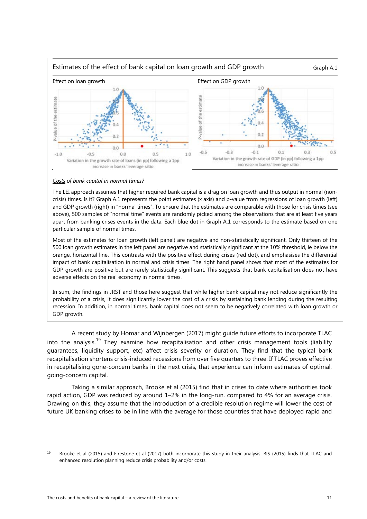

#### *Costs of bank capital in normal times?*

The LEI approach assumes that higher required bank capital is a drag on loan growth and thus output in normal (noncrisis) times. Is it? Graph A.1 represents the point estimates (x axis) and p-value from regressions of loan growth (left) and GDP growth (right) in "normal times". To ensure that the estimates are comparable with those for crisis times (see above), 500 samples of "normal time" events are randomly picked among the observations that are at least five years apart from banking crises events in the data. Each blue dot in Graph A.1 corresponds to the estimate based on one particular sample of normal times.

Most of the estimates for loan growth (left panel) are negative and non-statistically significant. Only thirteen of the 500 loan growth estimates in the left panel are negative and statistically significant at the 10% threshold, ie below the orange, horizontal line. This contrasts with the positive effect during crises (red dot), and emphasises the differential impact of bank capitalisation in normal and crisis times. The right hand panel shows that most of the estimates for GDP growth are positive but are rarely statistically significant. This suggests that bank capitalisation does not have adverse effects on the real economy in normal times.

In sum, the findings in JRST and those here suggest that while higher bank capital may not reduce significantly the probability of a crisis, it does significantly lower the cost of a crisis by sustaining bank lending during the resulting recession. In addition, in normal times, bank capital does not seem to be negatively correlated with loan growth or GDP growth.

A recent study by Homar and Wijnbergen (2017) might guide future efforts to incorporate TLAC into the analysis.<sup>[19](#page-14-0)</sup> They examine how recapitalisation and other crisis management tools (liability guarantees, liquidity support, etc) affect crisis severity or duration. They find that the typical bank recapitalisation shortens crisis-induced recessions from over five quarters to three. If TLAC proves effective in recapitalising gone-concern banks in the next crisis, that experience can inform estimates of optimal, going-concern capital.

Taking a similar approach, Brooke et al (2015) find that in crises to date where authorities took rapid action, GDP was reduced by around 1–2% in the long-run, compared to 4% for an average crisis. Drawing on this, they assume that the introduction of a credible resolution regime will lower the cost of future UK banking crises to be in line with the average for those countries that have deployed rapid and

<span id="page-14-0"></span><sup>&</sup>lt;sup>19</sup> Brooke et al (2015) and Firestone et al (2017) both incorporate this study in their analysis. BIS (2015) finds that TLAC and enhanced resolution planning reduce crisis probability and/or costs.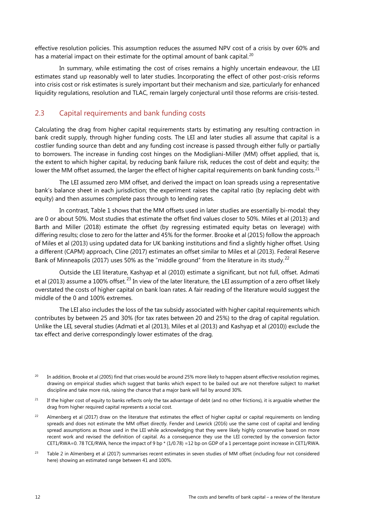effective resolution policies. This assumption reduces the assumed NPV cost of a crisis by over 60% and has a material impact on their estimate for the optimal amount of bank capital.<sup>[20](#page-15-1)</sup>

In summary, while estimating the cost of crises remains a highly uncertain endeavour, the LEI estimates stand up reasonably well to later studies. Incorporating the effect of other post-crisis reforms into crisis cost or risk estimates is surely important but their mechanism and size, particularly for enhanced liquidity regulations, resolution and TLAC, remain largely conjectural until those reforms are crisis-tested.

#### <span id="page-15-0"></span>2.3 Capital requirements and bank funding costs

Calculating the drag from higher capital requirements starts by estimating any resulting contraction in bank credit supply, through higher funding costs. The LEI and later studies all assume that capital is a costlier funding source than debt and any funding cost increase is passed through either fully or partially to borrowers. The increase in funding cost hinges on the Modigliani-Miller (MM) offset applied, that is, the extent to which higher capital, by reducing bank failure risk, reduces the cost of debt and equity; the lower the MM offset assumed, the larger the effect of higher capital requirements on bank funding costs.<sup>[21](#page-15-2)</sup>

The LEI assumed zero MM offset, and derived the impact on loan spreads using a representative bank's balance sheet in each jurisdiction; the experiment raises the capital ratio (by replacing debt with equity) and then assumes complete pass through to lending rates.

In contrast, [Table](#page-7-0) 1 shows that the MM offsets used in later studies are essentially bi-modal: they are 0 or about 50%. Most studies that estimate the offset find values closer to 50%. Miles et al (2013) and Barth and Miller (2018) estimate the offset (by regressing estimated equity betas on leverage) with differing results; close to zero for the latter and 45% for the former. Brooke et al (2015) follow the approach of Miles et al (2013) using updated data for UK banking institutions and find a slightly higher offset. Using a different (CAPM) approach, Cline (2017) estimates an offset similar to Miles et al (2013). Federal Reserve Bank of Minneapolis (2017) uses 50% as the "middle ground" from the literature in its study.<sup>[22](#page-15-3)</sup>

Outside the LEI literature, Kashyap et al (2010) estimate a significant, but not full, offset. Admati et al (2013) assume a 100% offset.<sup>[23](#page-15-4)</sup> In view of the later literature, the LEI assumption of a zero offset likely overstated the costs of higher capital on bank loan rates. A fair reading of the literature would suggest the middle of the 0 and 100% extremes.

The LEI also includes the loss of the tax subsidy associated with higher capital requirements which contributes by between 25 and 30% (for tax rates between 20 and 25%) to the drag of capital regulation. Unlike the LEI, several studies (Admati et al (2013), Miles et al (2013) and Kashyap et al (2010)) exclude the tax effect and derive correspondingly lower estimates of the drag.

- <span id="page-15-2"></span><sup>21</sup> If the higher cost of equity to banks reflects only the tax advantage of debt (and no other frictions), it is arguable whether the drag from higher required capital represents a social cost.
- <span id="page-15-3"></span> $22$  Almenberg et al (2017) draw on the literature that estimates the effect of higher capital or capital requirements on lending spreads and does not estimate the MM offset directly. Fender and Lewrick (2016) use the same cost of capital and lending spread assumptions as those used in the LEI while acknowledging that they were likely highly conservative based on more recent work and revised the definition of capital. As a consequence they use the LEI corrected by the conversion factor CET1/RWA=0. 78 TCE/RWA, hence the impact of 9 bp  $*$  (1/0.78) =12 bp on GDP of a 1 percentage point increase in CET1/RWA.
- <span id="page-15-4"></span><sup>23</sup> Table 2 in Almenberg et al (2017) summarises recent estimates in seven studies of MM offset (including four not considered here) showing an estimated range between 41 and 100%.

<span id="page-15-1"></span><sup>&</sup>lt;sup>20</sup> In addition, Brooke et al (2005) find that crises would be around 25% more likely to happen absent effective resolution regimes, drawing on empirical studies which suggest that banks which expect to be bailed out are not therefore subject to market discipline and take more risk, raising the chance that a major bank will fail by around 30%.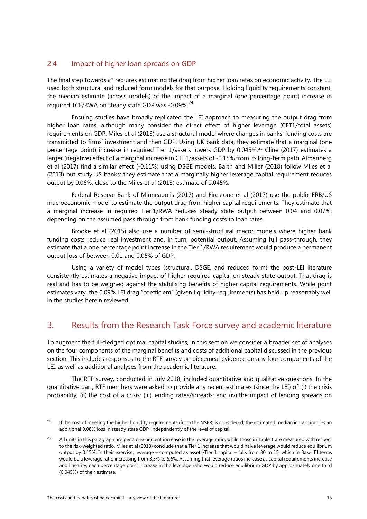### <span id="page-16-0"></span>2.4 Impact of higher loan spreads on GDP

The final step towards *k\** requires estimating the drag from higher loan rates on economic activity. The LEI used both structural and reduced form models for that purpose. Holding liquidity requirements constant, the median estimate (across models) of the impact of a marginal (one percentage point) increase in required TCE/RWA on steady state GDP was -0.09%.<sup>[24](#page-16-2)</sup>

Ensuing studies have broadly replicated the LEI approach to measuring the output drag from higher loan rates, although many consider the direct effect of higher leverage (CET1/total assets) requirements on GDP. Miles et al (2013) use a structural model where changes in banks' funding costs are transmitted to firms' investment and then GDP. Using UK bank data, they estimate that a marginal (one percentage point) increase in required Tier 1/assets lowers GDP by 0.045%.[25](#page-16-3) Cline (2017) estimates a larger (negative) effect of a marginal increase in CET1/assets of -0.15% from its long-term path. Almenberg et al (2017) find a similar effect (-0.11%) using DSGE models. Barth and Miller (2018) follow Miles et al (2013) but study US banks; they estimate that a marginally higher leverage capital requirement reduces output by 0.06%, close to the Miles et al (2013) estimate of 0.045%.

Federal Reserve Bank of Minneapolis (2017) and Firestone et al (2017) use the public FRB/US macroeconomic model to estimate the output drag from higher capital requirements. They estimate that a marginal increase in required Tier 1/RWA reduces steady state output between 0.04 and 0.07%, depending on the assumed pass through from bank funding costs to loan rates.

Brooke et al (2015) also use a number of semi-structural macro models where higher bank funding costs reduce real investment and, in turn, potential output. Assuming full pass-through, they estimate that a one percentage point increase in the Tier 1/RWA requirement would produce a permanent output loss of between 0.01 and 0.05% of GDP.

Using a variety of model types (structural, DSGE, and reduced form) the post-LEI literature consistently estimates a negative impact of higher required capital on steady state output. That drag is real and has to be weighed against the stabilising benefits of higher capital requirements. While point estimates vary, the 0.09% LEI drag "coefficient" (given liquidity requirements) has held up reasonably well in the studies herein reviewed.

# <span id="page-16-1"></span>3. Results from the Research Task Force survey and academic literature

To augment the full-fledged optimal capital studies, in this section we consider a broader set of analyses on the four components of the marginal benefits and costs of additional capital discussed in the previous section. This includes responses to the RTF survey on piecemeal evidence on any four components of the LEI, as well as additional analyses from the academic literature.

The RTF survey, conducted in July 2018, included quantitative and qualitative questions. In the quantitative part, RTF members were asked to provide any recent estimates (since the LEI) of: (i) the crisis probability; (ii) the cost of a crisis; (iii) lending rates/spreads; and (iv) the impact of lending spreads on

<span id="page-16-2"></span><sup>&</sup>lt;sup>24</sup> If the cost of meeting the higher liquidity requirements (from the NSFR) is considered, the estimated median impact implies an additional 0.08% loss in steady state GDP, independently of the level of capital.

<span id="page-16-3"></span><sup>&</sup>lt;sup>25</sup> All units in this paragraph are per a one percent increase in the leverage ratio, while those in [Table](#page-7-0) 1 are measured with respect to the risk-weighted ratio. Miles et al (2013) conclude that a Tier 1 increase that would halve leverage would reduce equilibrium output by 0.15%. In their exercise, leverage – computed as assets/Tier 1 capital – falls from 30 to 15, which in Basel III terms would be a leverage ratio increasing from 3.3% to 6.6%. Assuming that leverage ratios increase as capital requirements increase and linearity, each percentage point increase in the leverage ratio would reduce equilibrium GDP by approximately one third (0.045%) of their estimate.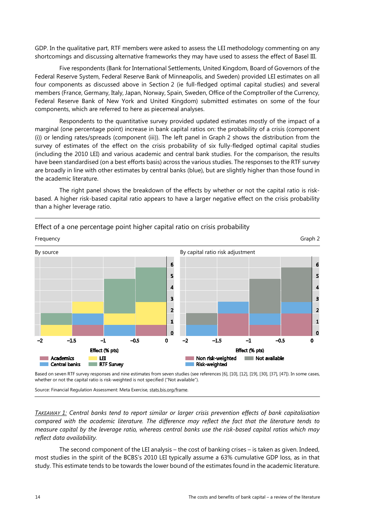GDP. In the qualitative part, RTF members were asked to assess the LEI methodology commenting on any shortcomings and discussing alternative frameworks they may have used to assess the effect of Basel III.

Five respondents (Bank for International Settlements, United Kingdom, Board of Governors of the Federal Reserve System, Federal Reserve Bank of Minneapolis, and Sweden) provided LEI estimates on all four components as discussed above in Section 2 (ie full-fledged optimal capital studies) and several members (France, Germany, Italy, Japan, Norway, Spain, Sweden, Office of the Comptroller of the Currency, Federal Reserve Bank of New York and United Kingdom) submitted estimates on some of the four components, which are referred to here as piecemeal analyses.

Respondents to the quantitative survey provided updated estimates mostly of the impact of a marginal (one percentage point) increase in bank capital ratios on: the probability of a crisis (component (i)) or lending rates/spreads (component (iii)). The left panel in [Graph](#page-17-0) 2 shows the distribution from the survey of estimates of the effect on the crisis probability of six fully-fledged optimal capital studies (including the 2010 LEI) and various academic and central bank studies. For the comparison, the results have been standardised (on a best efforts basis) across the various studies. The responses to the RTF survey are broadly in line with other estimates by central banks (blue), but are slightly higher than those found in the academic literature.

The right panel shows the breakdown of the effects by whether or not the capital ratio is riskbased. A higher risk-based capital ratio appears to have a larger negative effect on the crisis probability than a higher leverage ratio.



<span id="page-17-0"></span>Effect of a one percentage point higher capital ratio on crisis probability

Based on seven RTF survey responses and nine estimates from seven studies (see reference[s \[6\],](#page-26-1) [\[10\],](#page-26-2) [\[12\],](#page-26-3) [\[19\],](#page-27-0) [\[30\],](#page-27-1) [\[37\],](#page-28-0) [\[47\]\)](#page-28-1). In some cases, whether or not the capital ratio is risk-weighted is not specified ("Not available").

Source: Financial Regulation Assessment: Meta Exercise[, stats.bis.org/frame.](https://stats.bis.org/frame)

*TAKEAWAY 1: Central banks tend to report similar or larger crisis prevention effects of bank capitalisation compared with the academic literature. The difference may reflect the fact that the literature tends to measure capital by the leverage ratio, whereas central banks use the risk-based capital ratios which may reflect data availability.* 

The second component of the LEI analysis – the cost of banking crises – is taken as given. Indeed, most studies in the spirit of the BCBS's 2010 LEI typically assume a 63% cumulative GDP loss, as in that study. This estimate tends to be towards the lower bound of the estimates found in the academic literature.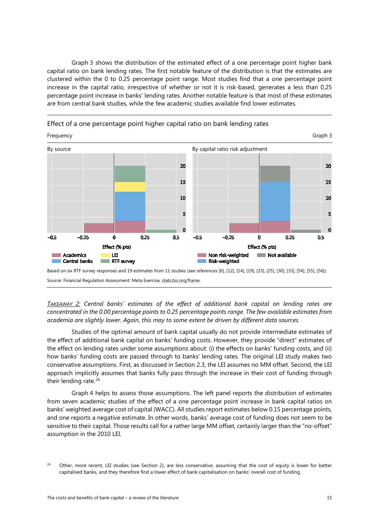[Graph](#page-18-0) 3 shows the distribution of the estimated effect of a one percentage point higher bank capital ratio on bank lending rates. The first notable feature of the distribution is that the estimates are clustered within the 0 to 0.25 percentage point range. Most studies find that a one percentage point increase in the capital ratio, irrespective of whether or not it is risk-based, generates a less than 0.25 percentage point increase in banks' lending rates. Another notable feature is that most of these estimates are from central bank studies, while the few academic studies available find lower estimates.



<span id="page-18-0"></span>Effect of a one percentage point higher capital ratio on bank lending rates

*TAKEAWAY 2: Central banks' estimates of the effect of additional bank capital on lending rates are concentrated in the 0.00 percentage points to 0.25 percentage points range. The few available estimates from academia are slightly lower. Again, this may to some extent be driven by different data sources.*

Studies of the optimal amount of bank capital usually do not provide intermediate estimates of the effect of additional bank capital on banks' funding costs. However, they provide "direct" estimates of the effect on lending rates under some assumptions about: (i) the effects on banks' funding costs, and (ii) how banks' funding costs are passed through to banks' lending rates. The original LEI study makes two conservative assumptions. First, as discussed in Section 2.3, the LEI assumes no MM offset. Second, the LEI approach implicitly assumes that banks fully pass through the increase in their cost of funding through their lending rate.<sup>[26](#page-18-1)</sup>

[Graph](#page-19-0) 4 helps to assess those assumptions. The left panel reports the distribution of estimates from seven academic studies of the effect of a one percentage point increase in bank capital ratios on banks' weighted average cost of capital (WACC). All studies report estimates below 0.15 percentage points, and one reports a negative estimate. In other words, banks' average cost of funding does not seem to be sensitive to their capital. Those results call for a rather large MM offset, certainly larger than the "no-offset" assumption in the 2010 LEI.

<span id="page-18-1"></span><sup>&</sup>lt;sup>26</sup> Other, more recent, LEI studies (see Section 2), are less conservative, assuming that the cost of equity is lower for better capitalised banks, and they therefore find a lower effect of bank capitalisation on banks' overall cost of funding.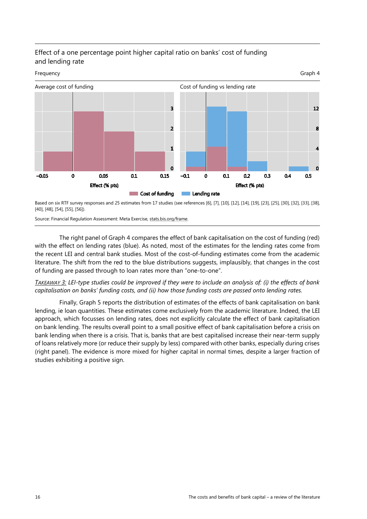

#### <span id="page-19-0"></span>Effect of a one percentage point higher capital ratio on banks' cost of funding and lending rate

Based on six RTF survey responses and 25 estimates from 17 studies (see reference[s \[6\],](#page-26-1) [\[7\],](#page-26-5) [\[10\],](#page-26-2) [\[12\],](#page-26-3) [\[14\],](#page-26-4) [\[19\],](#page-27-0) [\[23\],](#page-27-2) [\[25\],](#page-27-3) [\[30\],](#page-27-1) [\[32\],](#page-27-5) [\[33\],](#page-27-4) [\[38\],](#page-28-2)  [\[40\],](#page-28-3) [\[48\],](#page-28-4) [\[54\],](#page-29-0) [\[55\],](#page-29-1) [\[56\]\).](#page-29-2)

Source: Financial Regulation Assessment: Meta Exercise[, stats.bis.org/frame.](https://stats.bis.org/frame)

The right panel of [Graph](#page-19-0) 4 compares the effect of bank capitalisation on the cost of funding (red) with the effect on lending rates (blue). As noted, most of the estimates for the lending rates come from the recent LEI and central bank studies. Most of the cost-of-funding estimates come from the academic literature. The shift from the red to the blue distributions suggests, implausibly, that changes in the cost of funding are passed through to loan rates more than "one-to-one".

*TAKEAWAY 3: LEI-type studies could be improved if they were to include an analysis of: (i) the effects of bank capitalisation on banks' funding costs, and (ii) how those funding costs are passed onto lending rates.*

Finally, [Graph](#page-20-2) 5 reports the distribution of estimates of the effects of bank capitalisation on bank lending, ie loan quantities. These estimates come exclusively from the academic literature. Indeed, the LEI approach, which focusses on lending rates, does not explicitly calculate the effect of bank capitalisation on bank lending. The results overall point to a small positive effect of bank capitalisation before a crisis on bank lending when there is a crisis. That is, banks that are best capitalised increase their near-term supply of loans relatively more (or reduce their supply by less) compared with other banks, especially during crises (right panel). The evidence is more mixed for higher capital in normal times, despite a larger fraction of studies exhibiting a positive sign.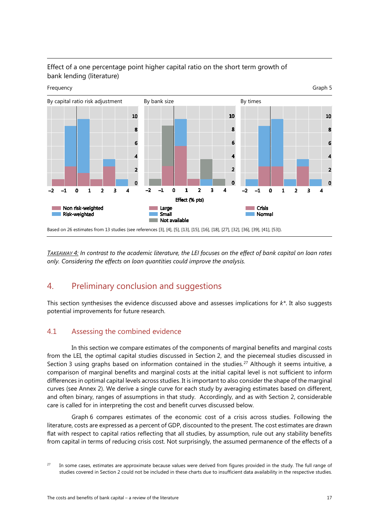

# <span id="page-20-2"></span>Effect of a one percentage point higher capital ratio on the short term growth of bank lending (literature)

*TAKEAWAY 4: In contrast to the academic literature, the LEI focuses on the effect of bank capital on loan rates only. Considering the effects on loan quantities could improve the analysis.*

# <span id="page-20-0"></span>4. Preliminary conclusion and suggestions

This section synthesises the evidence discussed above and assesses implications for *k\**. It also suggests potential improvements for future research.

# <span id="page-20-1"></span>4.1 Assessing the combined evidence

In this section we compare estimates of the components of marginal benefits and marginal costs from the LEI, the optimal capital studies discussed in Section 2, and the piecemeal studies discussed in Section 3 using graphs based on information contained in the studies.<sup>[27](#page-20-3)</sup> Although it seems intuitive, a comparison of marginal benefits and marginal costs at the initial capital level is not sufficient to inform differences in optimal capital levels across studies. It is important to also consider the shape of the marginal curves (see Annex 2). We derive a single curve for each study by averaging estimates based on different, and often binary, ranges of assumptions in that study. Accordingly, and as with Section 2, considerable care is called for in interpreting the cost and benefit curves discussed below.

[Graph](#page-21-0) 6 compares estimates of the economic cost of a crisis across studies. Following the literature, costs are expressed as a percent of GDP, discounted to the present. The cost estimates are drawn flat with respect to capital ratios reflecting that all studies, by assumption, rule out any stability benefits from capital in terms of reducing crisis cost. Not surprisingly, the assumed permanence of the effects of a

<span id="page-20-3"></span><sup>&</sup>lt;sup>27</sup> In some cases, estimates are approximate because values were derived from figures provided in the study. The full range of studies covered in Section 2 could not be included in these charts due to insufficient data availability in the respective studies.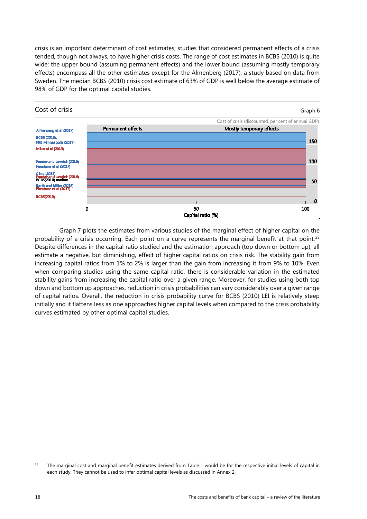<span id="page-21-0"></span>crisis is an important determinant of cost estimates; studies that considered permanent effects of a crisis tended, though not always, to have higher crisis costs. The range of cost estimates in BCBS (2010) is quite wide; the upper bound (assuming permanent effects) and the lower bound (assuming mostly temporary effects) encompass all the other estimates except for the Almenberg (2017), a study based on data from Sweden. The median BCBS (2010) crisis cost estimate of 63% of GDP is well below the average estimate of 98% of GDP for the optimal capital studies.



[Graph](#page-22-0) 7 plots the estimates from various studies of the marginal effect of higher capital on the probability of a crisis occurring. Each point on a curve represents the marginal benefit at that point.<sup>[28](#page-21-1)</sup> Despite differences in the capital ratio studied and the estimation approach (top down or bottom up), all estimate a negative, but diminishing, effect of higher capital ratios on crisis risk. The stability gain from increasing capital ratios from 1% to 2% is larger than the gain from increasing it from 9% to 10%. Even when comparing studies using the same capital ratio, there is considerable variation in the estimated stability gains from increasing the capital ratio over a given range. Moreover, for studies using both top down and bottom up approaches, reduction in crisis probabilities can vary considerably over a given range of capital ratios. Overall, the reduction in crisis probability curve for BCBS (2010) LEI is relatively steep initially and it flattens less as one approaches higher capital levels when compared to the crisis probability curves estimated by other optimal capital studies.

<span id="page-21-1"></span><sup>&</sup>lt;sup>28</sup> The marginal cost and marginal benefit estimates derived from [Table](#page-7-0) 1 would be for the respective initial levels of capital in each study. They cannot be used to infer optimal capital levels as discussed in Annex 2.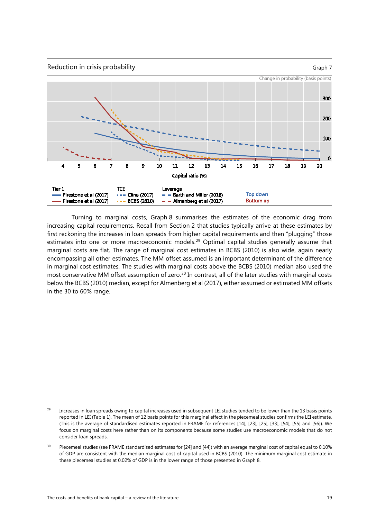<span id="page-22-2"></span><span id="page-22-0"></span>

Turning to marginal costs, [Graph](#page-23-0) 8 summarises the estimates of the economic drag from increasing capital requirements. Recall from Section 2 that studies typically arrive at these estimates by first reckoning the increases in loan spreads from higher capital requirements and then "plugging" those estimates into one or more macroeconomic models.<sup>[29](#page-22-1)</sup> Optimal capital studies generally assume that marginal costs are flat. The range of marginal cost estimates in BCBS (2010) is also wide, again nearly encompassing all other estimates. The MM offset assumed is an important determinant of the difference in marginal cost estimates. The studies with marginal costs above the BCBS (2010) median also used the most conservative MM offset assumption of zero.<sup>[30](#page-22-2)</sup> In contrast, all of the later studies with marginal costs below the BCBS (2010) median, except for Almenberg et al (2017), either assumed or estimated MM offsets in the 30 to 60% range.

<span id="page-22-1"></span><sup>&</sup>lt;sup>29</sup> Increases in loan spreads owing to capital increases used in subsequent LEI studies tended to be lower than the 13 basis points reported in LEI [\(Table](#page-7-0) 1). The mean of 12 basis points for this marginal effect in the piecemeal studies confirms the LEI estimate. (This is the average of standardised estimates reported in FRAME for references [\[14\],](#page-26-4) [\[23\],](#page-27-2) [\[25\],](#page-27-3) [\[33\],](#page-27-4) [\[54\],](#page-29-0) [\[55\]](#page-29-1) an[d \[56\]\)](#page-29-2). We focus on marginal costs here rather than on its components because some studies use macroeconomic models that do not consider loan spreads.

<sup>&</sup>lt;sup>30</sup> Piecemeal studies (see FRAME standardised estimates fo[r \[24\]](#page-27-8) an[d \[44\]\)](#page-28-9) with an average marginal cost of capital equal to 0.10% of GDP are consistent with the median marginal cost of capital used in BCBS (2010). The minimum marginal cost estimate in these piecemeal studies at 0.02% of GDP is in the lower range of those presented in [Graph](#page-23-0) 8.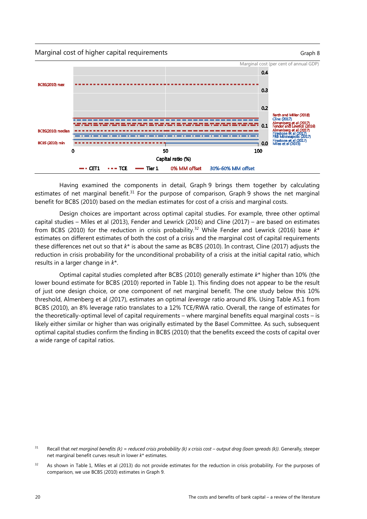

<span id="page-23-0"></span>



Having examined the components in detail, [Graph](#page-24-1) 9 brings them together by calculating estimates of net marginal benefit.<sup>[31](#page-23-1)</sup> For the purpose of comparison, [Graph](#page-24-1) 9 shows the net marginal benefit for BCBS (2010) based on the median estimates for cost of a crisis and marginal costs.

Design choices are important across optimal capital studies. For example, three other optimal capital studies – Miles et al (2013), Fender and Lewrick (2016) and Cline (2017) – are based on estimates from BCBS (2010) for the reduction in crisis probability.[32](#page-23-2) While Fender and Lewrick (2016) base *k*\* estimates on different estimates of both the cost of a crisis and the marginal cost of capital requirements these differences net out so that *k*\* is about the same as BCBS (2010). In contrast, Cline (2017) adjusts the reduction in crisis probability for the unconditional probability of a crisis at the initial capital ratio, which results in a larger change in *k*\*.

Optimal capital studies completed after BCBS (2010) generally estimate *k*\* higher than 10% (the lower bound estimate for BCBS (2010) reported in [Table](#page-7-0) 1). This finding does not appear to be the result of just one design choice, or one component of net marginal benefit. The one study below this 10% threshold, Almenberg et al (2017), estimates an optimal *leverage* ratio around 8%. Using Table A5.1 from BCBS (2010), an 8% leverage ratio translates to a 12% TCE/RWA ratio. Overall, the range of estimates for the theoretically-optimal level of capital requirements – where marginal benefits equal marginal costs – is likely either similar or higher than was originally estimated by the Basel Committee. As such, subsequent optimal capital studies confirm the finding in BCBS (2010) that the benefits exceed the costs of capital over a wide range of capital ratios.

<span id="page-23-1"></span><sup>31</sup> Recall that *net marginal benefits (k) = reduced crisis probability (k) x crisis cost – output drag (loan spreads (k)).* Generally, steeper net marginal benefit curves result in lower *k*\* estimates.

<span id="page-23-2"></span><sup>&</sup>lt;sup>32</sup> As shown in [Table](#page-7-0) 1, Miles et al (2013) do not provide estimates for the reduction in crisis probability. For the purposes of comparison, we use BCBS (2010) estimates i[n Graph](#page-24-1) 9.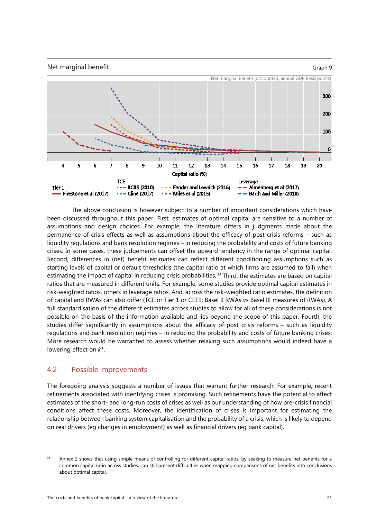<span id="page-24-1"></span>

The above conclusion is however subject to a number of important considerations which have been discussed throughout this paper. First, estimates of optimal capital are sensitive to a number of assumptions and design choices. For example, the literature differs in judgments made about the permanence of crisis effects as well as assumptions about the efficacy of post crisis reforms – such as liquidity regulations and bank resolution regimes – in reducing the probability and costs of future banking crises. In some cases, these judgements can offset the upward tendency in the range of optimal capital. Second, differences in (net) benefit estimates can reflect different conditioning assumptions such as starting levels of capital or default thresholds (the capital ratio at which firms are assumed to fail) when estimating the impact of capital in reducing crisis probabilities.<sup>[33](#page-24-2)</sup> Third, the estimates are based on capital ratios that are measured in different units. For example, some studies provide optimal capital estimates in risk-weighted ratios, others in leverage ratios. And, across the risk-weighted ratio estimates, the definition of capital and RWAs can also differ (TCE or Tier 1 or CET1; Basel II RWAs vs Basel III measures of RWAs). A full standardisation of the different estimates across studies to allow for all of these considerations is not possible on the basis of the information available and lies beyond the scope of this paper. Fourth, the studies differ significantly in assumptions about the efficacy of post crisis reforms – such as liquidity regulations and bank resolution regimes – in reducing the probability and costs of future banking crises. More research would be warranted to assess whether relaxing such assumptions would indeed have a lowering effect on *k\**.

### <span id="page-24-0"></span>4.2 Possible improvements

The foregoing analysis suggests a number of issues that warrant further research. For example, recent refinements associated with identifying crises is promising. Such refinements have the potential to affect estimates of the short- and long-run costs of crises as well as our understanding of how pre-crisis financial conditions affect these costs. Moreover, the identification of crises is important for estimating the relationship between banking system capitalisation and the probability of a crisis, which is likely to depend on real drivers (eg changes in employment) as well as financial drivers (eg bank capital).

<span id="page-24-2"></span><sup>33</sup> Annex 2 shows that using simple means of controlling for different capital ratios, by seeking to measure net benefits for a common capital ratio across studies, can still present difficulties when mapping comparisons of net benefits into conclusions about optimal capital.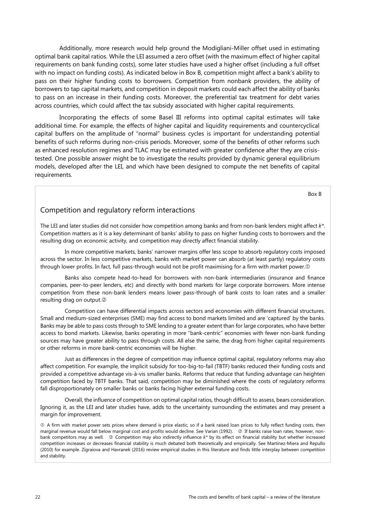Additionally, more research would help ground the Modigliani-Miller offset used in estimating optimal bank capital ratios. While the LEI assumed a zero offset (with the maximum effect of higher capital requirements on bank funding costs), some later studies have used a higher offset (including a full offset with no impact on funding costs). As indicated below in Box B, competition might affect a bank's ability to pass on their higher funding costs to borrowers. Competition from nonbank providers, the ability of borrowers to tap capital markets, and competition in deposit markets could each affect the ability of banks to pass on an increase in their funding costs. Moreover, the preferential tax treatment for debt varies across countries, which could affect the tax subsidy associated with higher capital requirements.

Incorporating the effects of some Basel III reforms into optimal capital estimates will take additional time. For example, the effects of higher capital and liquidity requirements and countercyclical capital buffers on the amplitude of "normal" business cycles is important for understanding potential benefits of such reforms during non-crisis periods. Moreover, some of the benefits of other reforms such as enhanced resolution regimes and TLAC may be estimated with greater confidence after they are crisistested. One possible answer might be to investigate the results provided by dynamic general equilibrium models, developed after the LEI, and which have been designed to compute the net benefits of capital requirements.

Box B

#### Competition and regulatory reform interactions

The LEI and later studies did not consider how competition among banks and from non-bank lenders might affect *k\**. Competition matters as it is a key determinant of banks' ability to pass on higher funding costs to borrowers and the resulting drag on economic activity, and competition may directly affect financial stability.

In more competitive markets, banks' narrower margins offer less scope to absorb regulatory costs imposed across the sector. In less competitive markets, banks with market power can absorb (at least partly) regulatory costs through lower profits. In fact, full pass-through would not be profit maximising for a firm with market power. O

Banks also compete head-to-head for borrowers with non-bank intermediaries (insurance and finance companies, peer-to-peer lenders, etc) and directly with bond markets for large corporate borrowers. More intense competition from these non-bank lenders means lower pass-through of bank costs to loan rates and a smaller resulting drag on output.

Competition can have differential impacts across sectors and economies with different financial structures. Small and medium-sized enterprises (SME) may find access to bond markets limited and are 'captured' by the banks. Banks may be able to pass costs through to SME lending to a greater extent than for large corporates, who have better access to bond markets. Likewise, banks operating in more "bank-centric" economies with fewer non-bank funding sources may have greater ability to pass through costs. All else the same, the drag from higher capital requirements or other reforms in more bank-centric economies will be higher.

Just as differences in the degree of competition may influence optimal capital, regulatory reforms may also affect competition. For example, the implicit subsidy for too-big-to-fail (TBTF) banks reduced their funding costs and provided a competitive advantage vis-à-vis smaller banks. Reforms that reduce that funding advantage can heighten competition faced by TBTF banks. That said, competition may be diminished where the costs of regulatory reforms fall disproportionately on smaller banks or banks facing higher external funding costs.

Overall, the influence of competition on optimal capital ratios, though difficult to assess, bears consideration. Ignoring it, as the LEI and later studies have, adds to the uncertainty surrounding the estimates and may present a margin for improvement.

 A firm with market power sets prices where demand is price elastic, so if a bank raised loan prices to fully reflect funding costs, then marginal revenue would fall below marginal cost and profits would decline. See Varian (1992). © If banks raise loan rates, however, nonbank competitors may as well. <sup>3</sup> Competition may also indirectly influence  $k^*$  by its effect on financial stability but whether increased competition increases or decreases financial stability is much debated both theoretically and empirically. See Martinez-Miera and Repullo (2010) for example. Zigraiova and Havranek (2016) review empirical studies in this literature and finds little interplay between competition and stability.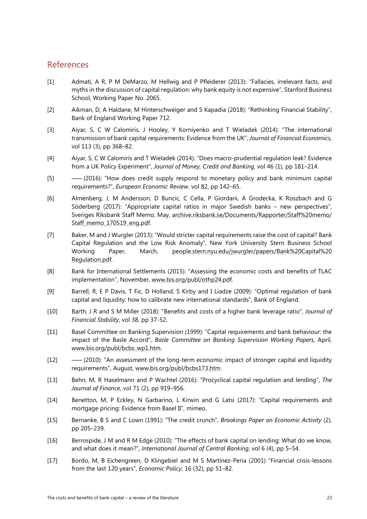# <span id="page-26-0"></span>References

- [1] Admati, A R, [P M DeMarzo,](https://www.gsb.stanford.edu/faculty-research/faculty/peter-m-demarzo) M Hellwig and [P Pfleiderer](https://www.gsb.stanford.edu/faculty-research/faculty/paul-pfleiderer) (2013): "Fallacies, irrelevant facts, and myths in the discussion of capital regulation: why bank equity is not expensive", Stanford Business School, Working Paper No. 2065.
- [2] Aikman, D, A Haldane, M Hinterschweiger and S Kapadia (2018): "Rethinking Financial Stability", Bank of England Working Paper 712.
- <span id="page-26-6"></span>[3] Aiyar, S, C W Calomiris, J Hooley, Y Korniyenko and T Wieladek (2014): "The international transmission of bank capital requirements: Evidence from the UK", *Journal of Financial Economics,*  vol 113 (3), pp 368–82.
- <span id="page-26-7"></span>[4] Aiyar, S, C W Calomiris and T Wieladek (2014): "Does macro-prudential regulation leak? Evidence from a UK Policy Experiment", *Journal of Money, Credit and Banking*, vol 46 (1), pp 181–214.
- <span id="page-26-8"></span>[5] - — (2016): "How does credit supply respond to monetary policy and bank minimum capital requirements?", *European Economic Review*, vol 82, pp 142–65.
- <span id="page-26-1"></span>[6] Almenberg, J, M Andersson, D Buncic, C Cella, P Giordani, A Grodecka, K Roszbach and G Söderberg (2017): "Appropriate capital ratios in major Swedish banks – new perspectives", Sveriges Riksbank Staff Memo, May, [archive.riksbank.se/Documents/Rapporter/Staff%20memo/](http://archive.riksbank.se/Documents/Rapporter/Staff%20memo/Staff_memo_170519_eng.pdf) [Staff\\_memo\\_170519\\_eng.pdf.](http://archive.riksbank.se/Documents/Rapporter/Staff%20memo/Staff_memo_170519_eng.pdf)
- <span id="page-26-5"></span>[7] [Baker, M and J Wurgler \(2013\)](http://people.stern.nyu.edu/jwurgler/papers/Bank%20Capital%20Regulation.pdf): "Would stricter capital requirements raise the cost of capital? Bank Capital Regulation and the Low Risk Anomaly", New York University Stern Business School Working Paper, March, [people.stern.nyu.edu/jwurgler/papers/Bank%20Capital%20](http://people.stern.nyu.edu/jwurgler/papers/Bank%20Capital%20Regulation.pdf) [Regulation.pdf.](http://people.stern.nyu.edu/jwurgler/papers/Bank%20Capital%20Regulation.pdf)
- [8] Bank for International Settlements (2015): "Assessing the economic costs and benefits of TLAC implementation", November, [www.bis.org/publ/othp24.pdf.](https://www.bis.org/publ/othp24.pdf)
- [9] Barrell, R, E P Davis, T Fic, D Holland, S Kirby and I Liadze (2009): "Optimal regulation of bank capital and liquidity: how to calibrate new international standards", Bank of England.
- <span id="page-26-2"></span>[10] Barth, J R and S M Miller (2018): "Benefits and costs of a higher bank leverage ratio", *Journal of Financial Stability*, vol 38, pp 37-52.
- [11] Basel Committee on Banking Supervision (1999): "Capital requirements and bank behaviour: the impact of the Basle Accord", *Basle Committee on Banking Supervision Working Papers*, April, [www.bis.org/publ/bcbs\\_wp1.htm.](https://www.bis.org/publ/bcbs_wp1.htm)
- <span id="page-26-3"></span>[12] —— (2010): "An assessment of the long-term economic impact of stronger capital and liquidity requirements", August, [www.bis.org/publ/bcbs173.htm.](https://www.bis.org/publ/bcbs173.htm)
- <span id="page-26-9"></span>[13] Behn, M, R Haselmann and P Wachtel (2016): "Procyclical capital regulation and lending", *The Journal of Finance*, vol 71 (2), pp 919–956.
- <span id="page-26-4"></span>[14] [Benetton, M, P Eckley, N Garbarino, L Kirwin and G Latsi \(2017\): "Capital requirements and](https://www.dropbox.com/s/0nu9zjbt60hgorx/BenettonEtAl_WP_2017.pdf?dl=0)  [mortgage pricing: Evidence from Basel II",](https://www.dropbox.com/s/0nu9zjbt60hgorx/BenettonEtAl_WP_2017.pdf?dl=0) mimeo.
- <span id="page-26-10"></span>[15] Bernanke, B S and C Lown (1991): "The credit crunch", *Brookings Paper on Economic Activity* (2), pp 205–239.
- <span id="page-26-11"></span>[16] Berrospide, J M and R M Edge (2010): "The effects of bank capital on lending: What do we know, and what does it mean?", *International Journal of Central Banking*, vol 6 (4), pp 5–54.
- [17] Bordo, M, B Eichengreen, D Klingebiel and M S Martinez-Peria (2001) "Financial crisis-lessons from the last 120 years", *Economic Policy*, 16 (32), pp 51–82.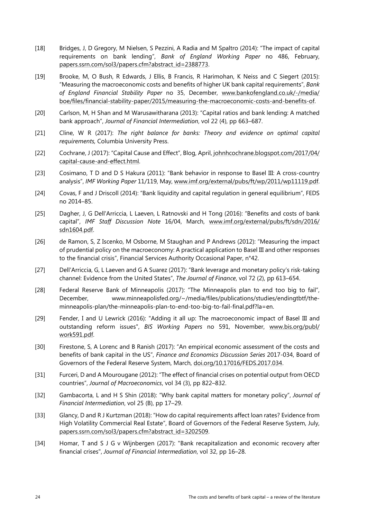- <span id="page-27-6"></span>[18] Bridges, J, D Gregory, M Nielsen, S Pezzini, A Radia and M Spaltro (2014): "The impact of capital requirements on bank lending", *Bank of England Working Paper* no 486, February, [papers.ssrn.com/sol3/papers.cfm?abstract\\_id=2388773.](https://papers.ssrn.com/sol3/papers.cfm?abstract_id=2388773)
- <span id="page-27-0"></span>[19] Brooke, M, O Bush, R Edwards, J Ellis, B Francis, R Harimohan, K Neiss and C Siegert (2015): "Measuring the macroeconomic costs and benefits of higher UK bank capital requirements", *Bank of England Financial Stability Paper* no 35, December, [www.bankofengland.co.uk/-/media/](https://www.bankofengland.co.uk/-/media/boe/files/financial-stability-paper/2015/measuring-the-macroeconomic-costs-and-benefits-of) [boe/files/financial-stability-paper/2015/measuring-the-macroeconomic-costs-and-benefits-of.](https://www.bankofengland.co.uk/-/media/boe/files/financial-stability-paper/2015/measuring-the-macroeconomic-costs-and-benefits-of)
- [20] Carlson, M, H Shan and M Warusawitharana (2013): "Capital ratios and bank lending: A matched bank approach", *Journal of Financial Intermediation*, vol 22 (4), pp 663–687.
- [21] Cline, W R (2017): *The right balance for banks: Theory and evidence on optimal capital requirements,* Columbia University Press.
- [22] Cochrane, J (2017): "Capital Cause and Effect", Blog, April[, johnhcochrane.blogspot.com/2017/04/](https://johnhcochrane.blogspot.com/2017/04/capital-cause-and-effect.html) [capital-cause-and-effect.html.](https://johnhcochrane.blogspot.com/2017/04/capital-cause-and-effect.html)
- <span id="page-27-2"></span>[23] Cosimano, T D and D S Hakura (2011): "Bank behavior in response to Basel III: A cross-country analysis", *IMF Working Paper* 11/119, May[, www.imf.org/external/pubs/ft/wp/2011/wp11119.pdf.](https://www.imf.org/external/pubs/ft/wp/2011/wp11119.pdf)
- <span id="page-27-8"></span>[24] Covas, F and J Driscoll (2014): "Bank liquidity and capital regulation in general equilibrium", FEDS no 2014–85.
- <span id="page-27-3"></span>[25] Dagher, J, G Dell'Arriccia, L Laeven, L Ratnovski and H Tong (2016): "Benefits and costs of bank capital", *IMF Staff Discussion Note* 16/04, March, [www.imf.org/external/pubs/ft/sdn/2016/](https://www.imf.org/external/pubs/ft/sdn/2016/sdn1604.pdf) [sdn1604.pdf.](https://www.imf.org/external/pubs/ft/sdn/2016/sdn1604.pdf)
- [26] de Ramon, S, Z Iscenko, M Osborne, M Staughan and P Andrews (2012): "Measuring the impact of prudential policy on the macroeconomy: A practical application to Basel III and other responses to the financial crisis", Financial Services Authority Occasional Paper, n°42.
- <span id="page-27-7"></span>[27] Dell'Arriccia, G, L Laeven and G A Suarez (2017): "Bank leverage and monetary policy's risk-taking channel: Evidence from the United States", *The Journal of Finance*, vol 72 (2), pp 613–654.
- [28] Federal Reserve Bank of Minneapolis (2017): "The Minneapolis plan to end too big to fail", December, [www.minneapolisfed.org/~/media/files/publications/studies/endingtbtf/the](http://www.minneapolisfed.org/%7E/media/files/publications/studies/endingtbtf/the-minneapolis-plan/%E2%80%8Cthe-minneapolis-plan-to-end-too-big-to-fail-final.pdf?la=en)[minneapolis-plan/the-minneapolis-plan-to-end-too-big-to-fail-final.pdf?la=en.](http://www.minneapolisfed.org/%7E/media/files/publications/studies/endingtbtf/the-minneapolis-plan/%E2%80%8Cthe-minneapolis-plan-to-end-too-big-to-fail-final.pdf?la=en)
- [29] Fender, I and U Lewrick (2016): "Adding it all up: The macroeconomic impact of Basel III and outstanding reform issues", *BIS Working Papers* no 591, November, [www.bis.org/publ/](https://www.bis.org/publ/work591.pdf) [work591.pdf.](https://www.bis.org/publ/work591.pdf)
- <span id="page-27-1"></span>[30] Firestone, S, A Lorenc and B Ranish (2017): "An empirical economic assessment of the costs and benefits of bank capital in the US", *Finance and Economics Discussion Series* 2017-034, Board of Governors of the Federal Reserve System, March, [doi.org/10.17016/FEDS.2017.034.](https://doi.org/10.17016/FEDS.2017.034)
- [31] Furceri, D and A Mourougane (2012): "The effect of financial crises on potential output from OECD countries", *Journal of Macroeconomics*, vol 34 (3), pp 822–832.
- <span id="page-27-5"></span>[32] Gambacorta, L and H S Shin (2018): "Why bank capital matters for monetary policy", *Journal of Financial Intermediation*, vol 25 (B), pp 17–29.
- <span id="page-27-4"></span>[33] Glancy, D and R J Kurtzman (2018): "How do capital requirements affect loan rates? Evidence from High Volatility Commercial Real Estate", Board of Governors of the Federal Reserve System, July, [papers.ssrn.com/sol3/papers.cfm?abstract\\_id=3202509.](https://papers.ssrn.com/sol3/papers.cfm?abstract_id=3202509)
- [34] Homar, T and S J G v Wijnbergen (2017): "Bank recapitalization and economic recovery after financial crises", *Journal of Financial Intermediation*, vol 32, pp 16–28.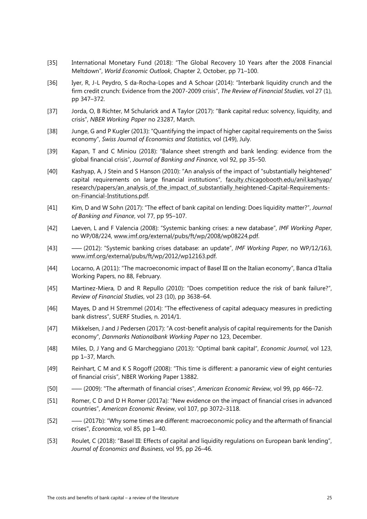- [35] International Monetary Fund (2018): "The Global Recovery 10 Years after the 2008 Financial Meltdown", *World Economic Outlook*, Chapter 2, October, pp 71–100.
- <span id="page-28-5"></span>[36] Iyer, R, J-L Peydro, S da-Rocha-Lopes and A Schoar (2014): "Interbank liquidity crunch and the firm credit crunch: Evidence from the 2007-2009 crisis", *The Review of Financial Studies*, vol 27 (1), pp 347–372.
- <span id="page-28-0"></span>[37] Jorda, O, B Richter, M Schularick and A Taylor (2017): "Bank capital redux: solvency, liquidity, and crisis", *NBER Working Paper* no 23287, March.
- <span id="page-28-2"></span>[38] Junge, G and P Kugler (2013): "Quantifying the impact of higher capital requirements on the Swiss economy", *Swiss Journal of Economics and Statistics*, vol (149), July.
- <span id="page-28-6"></span>[39] Kapan, T and C Miniou (2018): "Balance sheet strength and bank lending: evidence from the global financial crisis", *Journal of Banking and Finance*, vol 92, pp 35–50.
- <span id="page-28-3"></span>[40] Kashyap, A, J Stein and S Hanson (2010): "An analysis of the impact of "substantially heightened" capital requirements on large financial institutions", [faculty.chicagobooth.edu/anil.kashyap/](http://faculty.chicagobooth.edu/anil.kashyap/research/papers/an_analysis_of_the_impact_of_substantially_heightened-Capital-Requirements-on-Financial-Institutions.pdf) [research/papers/an\\_analysis\\_of\\_the\\_impact\\_of\\_substantially\\_heightened-Capital-Requirements](http://faculty.chicagobooth.edu/anil.kashyap/research/papers/an_analysis_of_the_impact_of_substantially_heightened-Capital-Requirements-on-Financial-Institutions.pdf)[on-Financial-Institutions.pdf.](http://faculty.chicagobooth.edu/anil.kashyap/research/papers/an_analysis_of_the_impact_of_substantially_heightened-Capital-Requirements-on-Financial-Institutions.pdf)
- <span id="page-28-7"></span>[41] Kim, D and W Sohn (2017): "The effect of bank capital on lending: Does liquidity matter?", *Journal of Banking and Finance*, vol 77, pp 95–107.
- [42] Laeven, L and F Valencia (2008): "Systemic banking crises: a new database", *IMF Working Paper*, no WP/08/224, [www.imf.org/external/pubs/ft/wp/2008/wp08224.pdf.](https://www.imf.org/external/pubs/ft/wp/2008/wp08224.pdf)
- [43] ‒‒‒ (2012): "Systemic banking crises database: an update", *IMF Working Paper*, no WP/12/163, [www.imf.org/external/pubs/ft/wp/2012/wp12163.pdf.](https://www.imf.org/external/pubs/ft/wp/2012/wp12163.pdf)
- <span id="page-28-9"></span>[44] Locarno, A (2011): "The macroeconomic impact of Basel III on the Italian economy", Banca d'Italia Working Papers, no 88, February.
- [45] Martinez-Miera, D and R Repullo (2010): "Does competition reduce the risk of bank failure?", *Review of Financial Studies*, vol 23 (10), pp 3638–64.
- [46] Mayes, D and H Stremmel (2014): "The effectiveness of capital adequacy measures in predicting bank distress", SUERF Studies, n. 2014/1.
- <span id="page-28-1"></span>[47] Mikkelsen, J and J Pedersen (2017): "A cost-benefit analysis of capital requirements for the Danish economy", *Danmarks Nationalbank Working Paper* no 123, December.
- <span id="page-28-4"></span>[48] Miles, D, J Yang and G Marcheggiano (2013): "Optimal bank capital", *Economic Journal*, vol 123, pp 1–37, March.
- [49] Reinhart, C M and K S Rogoff (2008): "This time is different: a panoramic view of eight centuries of financial crisis", NBER Working Paper 13882.
- [50] ‒‒‒ (2009): "The aftermath of financial crises", *American Economic Review*, vol 99, pp 466–72.
- [51] Romer, C D and D H Romer (2017a): "New evidence on the impact of financial crises in advanced countries", *American Economic Review*, vol 107, pp 3072–3118.
- [52] (2017b): "Why some times are different: macroeconomic policy and the aftermath of financial crises", *Economica*, vol 85, pp 1–40.
- <span id="page-28-8"></span>[53] Roulet, C (2018): "Basel III: Effects of capital and liquidity regulations on European bank lending", *Journal of Economics and Business*, vol 95, pp 26–46.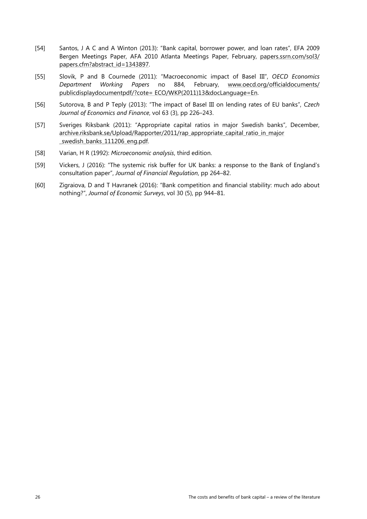- <span id="page-29-0"></span>[54] Santos, J A C and A Winton (2013): "Bank capital, borrower power, and loan rates", EFA 2009 Bergen Meetings Paper, AFA 2010 Atlanta Meetings Paper, February, [papers.ssrn.com/sol3/](https://papers.ssrn.com/sol3/papers.cfm?abstract_id=1343897) [papers.cfm?abstract\\_id=1343897.](https://papers.ssrn.com/sol3/papers.cfm?abstract_id=1343897)
- <span id="page-29-1"></span>[55] Slovik, P and B Cournede (2011): "Macroeconomic impact of Basel III", *OECD Economics Department Working Papers* no 884, February, [www.oecd.org/officialdocuments/](http://www.oecd.org/officialdocuments/publicdisplaydocumentpdf/?cote=%20ECO/WKP(2011)13&docLanguage=En) [publicdisplaydocumentpdf/?cote= ECO/WKP\(2011\)13&docLanguage=En.](http://www.oecd.org/officialdocuments/publicdisplaydocumentpdf/?cote=%20ECO/WKP(2011)13&docLanguage=En)
- <span id="page-29-2"></span>[56] Sutorova, B and P Teply (2013): "The impact of Basel III on lending rates of EU banks", *Czech Journal of Economics and Finance*, vol 63 (3), pp 226–243.
- [57] Sveriges Riksbank (2011): "Appropriate capital ratios in major Swedish banks", December, [archive.riksbank.se/Upload/Rapporter/2011/rap\\_appropriate\\_capital\\_ratio\\_in\\_major](http://archive.riksbank.se/Upload/Rapporter/2011/rap_appropriate_capital_ratio_in_major_swedish_banks_111206_eng.pdf) [\\_swedish\\_banks\\_111206\\_eng.pdf.](http://archive.riksbank.se/Upload/Rapporter/2011/rap_appropriate_capital_ratio_in_major_swedish_banks_111206_eng.pdf)
- [58] Varian, H R (1992): *Microeconomic analysis*, third edition.
- [59] Vickers, J (2016): "The systemic risk buffer for UK banks: a response to the Bank of England's consultation paper", *Journal of Financial Regulation*, pp 264–82.
- [60] Zigraiova, D and T Havranek (2016): "Bank competition and financial stability: much ado about nothing?", *Journal of Economic Surveys*, vol 30 (5), pp 944–81.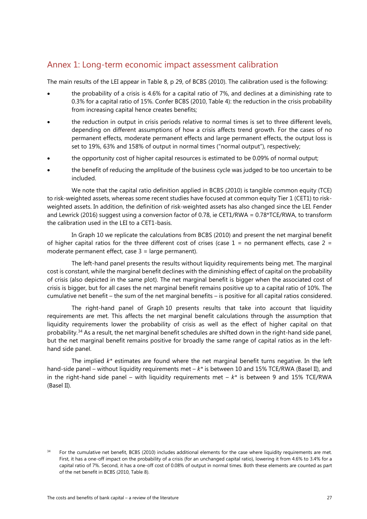# <span id="page-30-0"></span>Annex 1: Long-term economic impact assessment calibration

The main results of the LEI appear in Table 8, p 29, of BCBS (2010). The calibration used is the following:

- the probability of a crisis is 4.6% for a capital ratio of 7%, and declines at a diminishing rate to 0.3% for a capital ratio of 15%. Confer BCBS (2010, Table 4): the reduction in the crisis probability from increasing capital hence creates benefits;
- the reduction in output in crisis periods relative to normal times is set to three different levels, depending on different assumptions of how a crisis affects trend growth. For the cases of no permanent effects, moderate permanent effects and large permanent effects, the output loss is set to 19%, 63% and 158% of output in normal times ("normal output"), respectively;
- the opportunity cost of higher capital resources is estimated to be 0.09% of normal output;
- the benefit of reducing the amplitude of the business cycle was judged to be too uncertain to be included.

We note that the capital ratio definition applied in BCBS (2010) is tangible common equity (TCE) to risk-weighted assets, whereas some recent studies have focused at common equity Tier 1 (CET1) to riskweighted assets. In addition, the definition of risk-weighted assets has also changed since the LEI. Fender and Lewrick (2016) suggest using a conversion factor of 0.78, ie CET1/RWA = 0.78\*TCE/RWA, to transform the calibration used in the LEI to a CET1-basis.

In [Graph](#page-31-0) 10 we replicate the calculations from BCBS (2010) and present the net marginal benefit of higher capital ratios for the three different cost of crises (case  $1 =$  no permanent effects, case  $2 =$ moderate permanent effect, case 3 = large permanent).

The left-hand panel presents the results without liquidity requirements being met. The marginal cost is constant, while the marginal benefit declines with the diminishing effect of capital on the probability of crisis (also depicted in the same plot). The net marginal benefit is bigger when the associated cost of crisis is bigger, but for all cases the net marginal benefit remains positive up to a capital ratio of 10%. The cumulative net benefit – the sum of the net marginal benefits – is positive for all capital ratios considered.

The right-hand panel of [Graph](#page-31-0) 10 presents results that take into account that liquidity requirements are met. This affects the net marginal benefit calculations through the assumption that liquidity requirements lower the probability of crisis as well as the effect of higher capital on that probability.<sup>[34](#page-30-1)</sup> As a result, the net marginal benefit schedules are shifted down in the right-hand side panel, but the net marginal benefit remains positive for broadly the same range of capital ratios as in the lefthand side panel.

The implied *k\** estimates are found where the net marginal benefit turns negative. In the left hand-side panel – without liquidity requirements met – *k\** is between 10 and 15% TCE/RWA (Basel II), and in the right-hand side panel – with liquidity requirements met –  $k^*$  is between 9 and 15% TCE/RWA (Basel II).

<span id="page-30-1"></span><sup>34</sup> For the cumulative net benefit, BCBS (2010) includes additional elements for the case where liquidity requirements are met. First, it has a one-off impact on the probability of a crisis (for an unchanged capital ratio), lowering it from 4.6% to 3.4% for a capital ratio of 7%. Second, it has a one-off cost of 0.08% of output in normal times. Both these elements are counted as part of the net benefit in BCBS (2010, Table 8).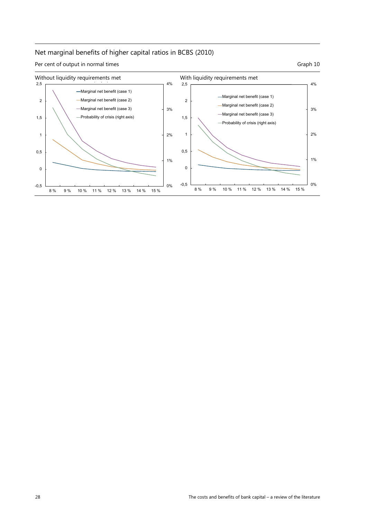## Net marginal benefits of higher capital ratios in BCBS (2010)

Per cent of output in normal times Graph 10

<span id="page-31-0"></span>